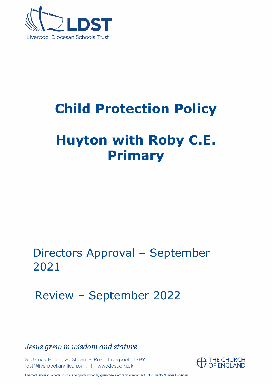

# **Child Protection Policy**

# **Huyton with Roby C.E. Primary**

## Directors Approval – September 2021

Review – September 2022

Jesus grew in wisdom and stature

St James' House, 20 St James Road, Liverpool L1 7BY Idst@liverpool.anglican.org. | www.ldst.org.uk



Liverpool Diocesan Schools Trust is a company limited by guarantee. Company Number 0923635; Charity Number EW56679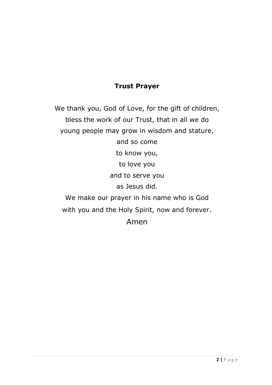### **Trust Prayer**

We thank you, God of Love, for the gift of children, bless the work of our Trust, that in all we do young people may grow in wisdom and stature, and so come

> to know you, to love you and to serve you

as Jesus did.

We make our prayer in his name who is God with you and the Holy Spirit, now and forever.

Amen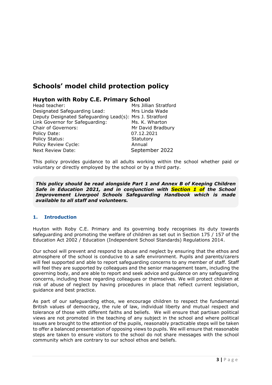### **Schools' model child protection policy**

#### **Huyton with Roby C.E. Primary School**

| Head teacher:                                            | Mrs Jillian Stratford |
|----------------------------------------------------------|-----------------------|
| Designated Safeguarding Lead:                            | Mrs Linda Wade        |
| Deputy Designated Safeguarding Lead(s): Mrs J. Stratford |                       |
| Link Governor for Safeguarding:                          | Ms. K. Wharton        |
| <b>Chair of Governors:</b>                               | Mr David Bradbury     |
| Policy Date:                                             | 07.12.2021            |
| Policy Status:                                           | Statutory             |
| Policy Review Cycle:                                     | Annual                |
| <b>Next Review Date:</b>                                 | September 2022        |
|                                                          |                       |

This policy provides guidance to all adults working within the school whether paid or voluntary or directly employed by the school or by a third party.

*This policy should be read alongside Part 1 and Annex B of Keeping Children Safe in Education 2021, and in conjunction with Section 1 of the School Improvement Liverpool Schools Safeguarding Handbook which is made available to all staff and volunteers.*

#### **1. Introduction**

Huyton with Roby C.E. Primary and its governing body recognises its duty towards safeguarding and promoting the welfare of children as set out in Section 175 / 157 of the Education Act 2002 / Education (Independent School Standards) Regulations 2014.

Our school will prevent and respond to abuse and neglect by ensuring that the ethos and atmosphere of the school is conducive to a safe environment. Pupils and parents/carers will feel supported and able to report safeguarding concerns to any member of staff. Staff will feel they are supported by colleagues and the senior management team, including the governing body, and are able to report and seek advice and guidance on any safeguarding concerns, including those regarding colleagues or themselves. We will protect children at risk of abuse of neglect by having procedures in place that reflect current legislation, guidance and best practice.

As part of our safeguarding ethos, we encourage children to respect the fundamental British values of democracy, the rule of law, individual liberty and mutual respect and tolerance of those with different faiths and beliefs. We will ensure that partisan political views are not promoted in the teaching of any subject in the school and where political issues are brought to the attention of the pupils, reasonably practicable steps will be taken to offer a balanced presentation of opposing views to pupils. We will ensure that reasonable steps are taken to ensure visitors to the school do not share messages with the school community which are contrary to our school ethos and beliefs.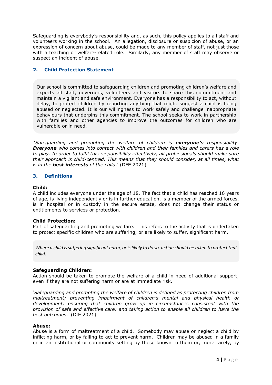Safeguarding is everybody's responsibility and, as such, this policy applies to all staff and volunteers working in the school. An allegation, disclosure or suspicion of abuse, or an expression of concern about abuse, could be made to any member of staff, not just those with a teaching or welfare-related role. Similarly, any member of staff may observe or suspect an incident of abuse.

#### **2. Child Protection Statement**

Our school is committed to safeguarding children and promoting children's welfare and expects all staff, governors, volunteers and visitors to share this commitment and maintain a vigilant and safe environment. Everyone has a responsibility to act, without delay, to protect children by reporting anything that might suggest a child is being abused or neglected. It is our willingness to work safely and challenge inappropriate behaviours that underpins this commitment. The school seeks to work in partnership with families and other agencies to improve the outcomes for children who are vulnerable or in need.

'*Safeguarding and promoting the welfare of children is everyone's responsibility. Everyone who comes into contact with children and their families and carers has a role to play. In order to fulfil this responsibility effectively, all professionals should make sure their approach is child-centred. This means that they should consider, at all times, what is in the best interests of the child*.' (DFE 2021)

#### **3. Definitions**

#### **Child:**

A child includes everyone under the age of 18. The fact that a child has reached 16 years of age, is living independently or is in further education, is a member of the armed forces, is in hospital or in custody in the secure estate, does not change their status or entitlements to services or protection.

#### **Child Protection:**

Part of safeguarding and promoting welfare. This refers to the activity that is undertaken to protect specific children who are suffering, or are likely to suffer, significant harm.

*Where a child is suffering significant harm, or is likely to do so, action should be taken to protect that child.*

#### **Safeguarding Children:**

Action should be taken to promote the welfare of a child in need of additional support, even if they are not suffering harm or are at immediate risk.

*'Safeguarding and promoting the welfare of children is defined as protecting children from maltreatment; preventing impairment of children's mental and physical health or development; ensuring that children grow up in circumstances consistent with the provision of safe and effective care; and taking action to enable all children to have the best outcomes.'* (DfE 2021)

#### **Abuse:**

Abuse is a form of maltreatment of a child. Somebody may abuse or neglect a child by inflicting harm, or by failing to act to prevent harm. Children may be abused in a family or in an institutional or community setting by those known to them or, more rarely, by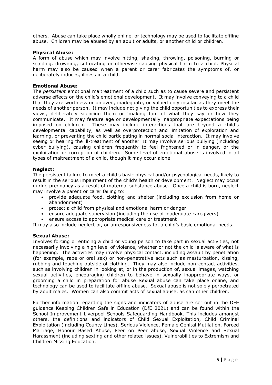others. Abuse can take place wholly online, or technology may be used to facilitate offline abuse. Children may be abused by an adult or adults, or another child or children.

#### **Physical Abuse:**

A form of abuse which may involve hitting, shaking, throwing, poisoning, burning or scalding, drowning, suffocating or otherwise causing physical harm to a child. Physical harm may also be caused when a parent or carer fabricates the symptoms of, or deliberately induces, illness in a child.

#### **Emotional Abuse:**

The *persistent* emotional maltreatment of a child such as to cause severe and persistent adverse effects on the child's emotional development. It may involve conveying to a child that they are worthless or unloved, inadequate, or valued only insofar as they meet the needs of another person. It may include not giving the child opportunities to express their views, deliberately silencing them or 'making fun' of what they say or how they communicate. It may feature age or developmentally inappropriate expectations being imposed on children. These may include interactions that are beyond a child's developmental capability, as well as overprotection and limitation of exploration and learning, or preventing the child participating in normal social interaction. It may involve seeing or hearing the ill-treatment of another. It may involve serious bullying (including cyber bullying), causing children frequently to feel frightened or in danger, or the exploitation or corruption of children. Some level of emotional abuse is involved in all types of maltreatment of a child, though it may occur alone

#### **Neglect:**

The persistent failure to meet a child's basic physical and/or psychological needs, likely to result in the serious impairment of the child's health or development. Neglect may occur during pregnancy as a result of maternal substance abuse. Once a child is born, neglect may involve a parent or carer failing to:

- provide adequate food, clothing and shelter (including exclusion from home or abandonment)
- protect a child from physical and emotional harm or danger
- ensure adequate supervision (including the use of inadequate caregivers)
- ensure access to appropriate medical care or treatment

It may also include neglect of, or unresponsiveness to, a child's basic emotional needs.

#### **Sexual Abuse:**

Involves forcing or enticing a child or young person to take part in sexual activities, not necessarily involving a high level of violence, whether or not the child is aware of what is happening. The activities may involve physical contact, including assault by penetration (for example, rape or oral sex) or non-penetrative acts such as masturbation, kissing, rubbing and touching outside of clothing. They may also include non-contact activities, such as involving children in looking at, or in the production of, sexual images, watching sexual activities, encouraging children to behave in sexually inappropriate ways, or grooming a child in preparation for abuse Sexual abuse can take place online, and technology can be used to facilitate offline abuse. Sexual abuse is not solely perpetrated by adult males. Women can also commit acts of sexual abuse, as can other children.

Further information regarding the signs and indicators of abuse are set out in the DFE guidance Keeping Children Safe in Education (DfE 2021) and can be found within the School Improvement Liverpool Schools Safeguarding Handbook. This includes amongst others, the definitions and indicators of Child Sexual Exploitation, Child Criminal Exploitation (including County Lines), Serious Violence, Female Genital Mutilation, Forced Marriage, Honour Based Abuse, Peer on Peer abuse, Sexual Violence and Sexual Harassment (including sexting and other related issues), Vulnerabilities to Extremism and Children Missing Education.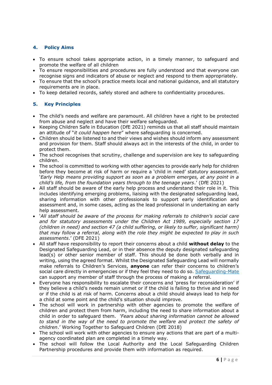#### **4. Policy Aims**

- To ensure school takes appropriate action, in a timely manner, to safeguard and promote the welfare of all children
- To ensure responsibilities and procedures are fully understood and that everyone can recognise signs and indicators of abuse or neglect and respond to them appropriately.
- To ensure that the school's practice meets local and national guidance, and all statutory requirements are in place.
- To keep detailed records, safely stored and adhere to confidentiality procedures.

#### **5. Key Principles**

- The child's needs and welfare are paramount. All children have a right to be protected from abuse and neglect and have their welfare safeguarded.
- Keeping Children Safe in Education (DfE 2021) reminds us that all staff should maintain an attitude of "*it could happen here*" where safeguarding is concerned.
- Children should be listened to and their views and wishes should inform any assessment and provision for them. Staff should always act in the interests of the child, in order to protect them.
- The school recognises that scrutiny, challenge and supervision are key to safeguarding children.
- The school is committed to working with other agencies to provide early help for children before they become at risk of harm or require a 'child in need' statutory assessment. '*Early Help means providing support as soon as a problem emerges, at any point in a child's life, from the foundation years through to the teenage years*.' (DfE 2021)
- All staff should be aware of the early help process and understand their role in it. This includes identifying emerging problems, liaising with the designated safeguarding lead, sharing information with other professionals to support early identification and assessment and, in some cases, acting as the lead professional in undertaking an early help assessment.
- '*All staff should be aware of the process for making referrals to children's social care and for statutory assessments under the Children Act 1989, especially section 17 (children in need) and section 47 (a child suffering, or likely to suffer, significant harm) that may follow a referral, along with the role they might be expected to play in such assessments*.' (DFE 2021)
- All staff have responsibility to report their concerns about a child **without delay** to the Designated Safeguarding Lead, or in their absence the deputy designated safeguarding lead(s) or other senior member of staff. This should be done both verbally and in writing, using the agreed format. Whilst the Designated Safeguarding Lead will normally make referrals to Children's Services, **anyone** can refer their concerns to children's social care directly in emergencies or if they feel they need to do so. [Safeguarding-Mate](https://www.schoolimprovementliverpool.co.uk/safeguarding-mate/) can support any member of staff through the process of making a referral.
- Everyone has responsibility to escalate their concerns and 'press for reconsideration' if they believe a child's needs remain unmet or if the child is failing to thrive and in need or if the child is at risk of harm. Concerns about a child should always lead to help for a child at some point and the child's situation should improve.
- The school will work in partnership with other agencies to promote the welfare of children and protect them from harm, including the need to share information about a child in order to safeguard them. *'Fears about sharing information cannot be allowed to stand in the way of the need to promote the welfare and protect the safety of children*.' Working Together to Safeguard Children (DfE 2018)
- The school will work with other agencies to ensure any actions that are part of a multiagency coordinated plan are completed in a timely way.
- The school will follow the Local Authority and the Local Safeguarding Children Partnership procedures and provide them with information as required.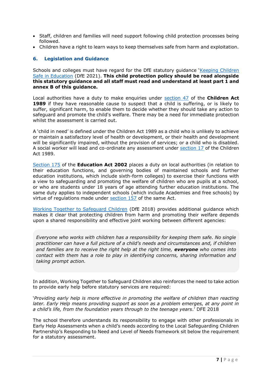- Staff, children and families will need support following child protection processes being followed.
- Children have a right to learn ways to keep themselves safe from harm and exploitation.

#### **6. Legislation and Guidance**

Schools and colleges must have regard for the DfE statutory guidance '[Keeping Children](https://www.gov.uk/government/publications/keeping-children-safe-in-education--2)  [Safe in Education](https://www.gov.uk/government/publications/keeping-children-safe-in-education--2) (DfE 2021). **This child protection policy should be read alongside this statutory guidance and all staff must read and understand at least part 1 and annex B of this guidance.**

Local authorities have a duty to make enquiries under [section 47](http://www.legislation.gov.uk/ukpga/1989/41/section/47) of the **Children Act 1989** if they have reasonable cause to suspect that a child is suffering, or is likely to suffer, significant harm, to enable them to decide whether they should take any action to safeguard and promote the child's welfare. There may be a need for immediate protection whilst the assessment is carried out.

A 'child in need' is defined under the Children Act 1989 as a child who is unlikely to achieve or maintain a satisfactory level of health or development, or their health and development will be significantly impaired, without the provision of services; or a child who is disabled. A social worker will lead and co-ordinate any assessment under [section 17](http://www.legislation.gov.uk/ukpga/1989/41/section/17) of the Children Act 1989.

[Section 175](https://www.legislation.gov.uk/ukpga/2002/32/section/175) of the **Education Act 2002** places a duty on local authorities (in relation to their education functions, and governing bodies of maintained schools and further education institutions, which include sixth-form colleges) to exercise their functions with a view to safeguarding and promoting the welfare of children who are pupils at a school, or who are students under 18 years of age attending further education institutions. The same duty applies to independent schools (which include Academies and free schools) by virtue of regulations made under [section 157](https://www.legislation.gov.uk/ukpga/2002/32/section/157) of the same Act.

[Working Together to Safeguard Children](https://www.gov.uk/government/publications/working-together-to-safeguard-children--2) (DfE 2018) provides additional guidance which makes it clear that protecting children from harm and promoting their welfare depends upon a shared responsibility and effective joint working between different agencies:

*Everyone who works with children has a responsibility for keeping them safe. No single practitioner can have a full picture of a child's needs and circumstances and, if children and families are to receive the right help at the right time, everyone who comes into contact with them has a role to play in identifying concerns, sharing information and taking prompt action.*

In addition, Working Together to Safeguard Children also reinforces the need to take action to provide early help before statutory services are required:

'*Providing early help is more effective in promoting the welfare of children than reacting later. Early Help means providing support as soon as a problem emerges, at any point in a child's life, from the foundation years through to the teenage years*.' DFE 2018

The school therefore understands its responsibility to engage with other professionals in Early Help Assessments when a child's needs according to the Local Safeguarding Children Partnership's Responding to Need and Level of Needs framework sit below the requirement for a statutory assessment.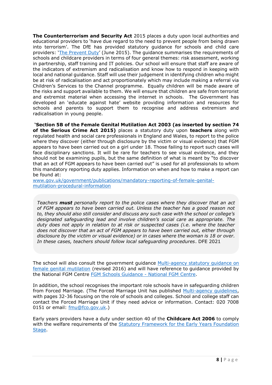**The Counterterrorism and Security Act** 2015 places a duty upon local authorities and educational providers to 'have due regard to the need to prevent people from being drawn into terrorism'. The DfE has provided statutory guidance for schools and child care providers: '[The Prevent Duty](https://www.gov.uk/government/publications/prevent-duty-guidance)' (June 2015). The guidance summarises the requirements of schools and childcare providers in terms of four general themes: risk assessment, working in partnership, staff training and IT policies. Our school will ensure that staff are aware of the indicators of extremism and radicalisation and know how to respond in keeping with local and national guidance. Staff will use their judgement in identifying children who might be at risk of radicalisation and act proportionately which may include making a referral via Children's Services to the Channel programme. Equally children will be made aware of the risks and support available to them. We will ensure that children are safe from terrorist and extremist material when accessing the internet in schools. The Government has developed an 'educate against hate' website providing information and resources for schools and parents to support them to recognise and address extremism and radicalisation in young people.

**'Section 5B of the Female Genital Mutilation Act 2003 (as inserted by section 74 of the Serious Crime Act 2015)** places a statutory duty upon **teachers** along with regulated health and social care professionals in England and Wales, to report to the police where they discover (either through disclosure by the victim or visual evidence) that FGM appears to have been carried out on a girl under 18. Those failing to report such cases will face disciplinary sanctions. It will be rare for teachers to see visual evidence, and they should not be examining pupils, but the same definition of what is meant by "to discover that an act of FGM appears to have been carried out" is used for all professionals to whom this mandatory reporting duty applies. Information on when and how to make a report can be found at:

[www.gov.uk/government/publications/mandatory-reporting-of-female-genital](http://www.gov.uk/government/publications/mandatory-reporting-of-female-genital-mutilation-procedural-information)[mutilation-procedural-information](http://www.gov.uk/government/publications/mandatory-reporting-of-female-genital-mutilation-procedural-information)

*Teachers must personally report to the police cases where they discover that an act of FGM appears to have been carried out. Unless the teacher has a good reason not to, they should also still consider and discuss any such case with the school or college's designated safeguarding lead and involve children's social care as appropriate. The duty does not apply in relation to at risk or suspected cases (i.e. where the teacher does not discover that an act of FGM appears to have been carried out, either through disclosure by the victim or visual evidence) or in cases where the woman is 18 or over. In these cases, teachers should follow local safeguarding procedures*. DFE 2021

The school will also consult the government guidance [Multi-agency statutory guidance on](https://www.gov.uk/government/publications/multi-agency-statutory-guidance-on-female-genital-mutilation)  [female genital mutilation](https://www.gov.uk/government/publications/multi-agency-statutory-guidance-on-female-genital-mutilation) (revised 2016) and will have reference to guidance provided by the National FGM Centre [FGM Schools Guidance -](http://nationalfgmcentre.org.uk/wp-content/uploads/2019/06/FGM-Schools-Guidance-National-FGM-Centre.pdf) National FGM Centre.

In addition, the school recognises the important role schools have in safeguarding children from Forced Marriage. (The Forced Marriage Unit has published Multi-agency quidelines, with pages 32-36 focusing on the role of schools and colleges. School and college staff can contact the Forced Marriage Unit if they need advice or information. Contact: 020 7008 0151 or email: [fmu@fco.gov.uk.](mailto:fmu@fco.gov.uk))

Early years providers have a duty under section 40 of the **Childcare Act 2006** to comply with the welfare requirements of the [Statutory Framework for the Early Years Foundation](https://www.gov.uk/government/publications/early-years-foundation-stage-framework--2)  [Stage.](https://www.gov.uk/government/publications/early-years-foundation-stage-framework--2)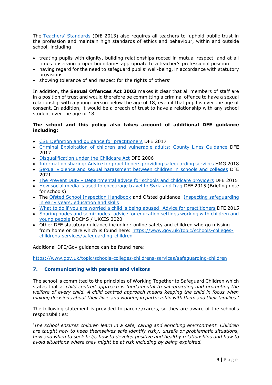The Teachers' [Standards](https://www.gov.uk/government/publications/teachers-standards) (DfE 2013) also requires all teachers to 'uphold public trust in the profession and maintain high standards of ethics and behaviour, within and outside school, including:

- treating pupils with dignity, building relationships rooted in mutual respect, and at all times observing proper boundaries appropriate to a teacher's professional position
- having regard for the need to safeguard pupils' well-being, in accordance with statutory provisions
- showing tolerance of and respect for the rights of others'

In addition, the **Sexual Offences Act 2003** makes it clear that all members of staff are in a position of trust and would therefore be committing a criminal offence to have a sexual relationship with a young person below the age of 18, even if that pupil is over the age of consent. In addition, it would be a breach of trust to have a relationship with any school student over the age of 18.

#### **The school and this policy also takes account of additional DFE guidance including:**

- [CSE Definition and guidance](https://www.gov.uk/government/publications/child-sexual-exploitation-definition-and-guide-for-practitioners) for practitioners DFE 2017
- [Criminal Exploitation of children and vulnerable adults: County Lines Guidance](https://www.gov.uk/government/publications/criminal-exploitation-of-children-and-vulnerable-adults-county-lines) DFE 2017
- [Disqualification under the Childcare Act](https://www.gov.uk/government/publications/disqualification-under-the-childcare-act-2006/disqualification-under-the-childcare-act-2006) DFE 2006
- [Information sharing: Advice for practitioners providing safeguarding services](https://www.gov.uk/government/publications/safeguarding-practitioners-information-sharing-advice) HMG 2018
- [Sexual violence and sexual harassment between children in schools and colleges](https://www.gov.uk/government/publications/sexual-violence-and-sexual-harassment-between-children-in-schools-and-colleges) DFE 2021
- The Prevent Duty [Departmental advice for schools and childcare providers](https://www.gov.uk/government/publications/protecting-children-from-radicalisation-the-prevent-duty) DFE 2015
- [How social media is used to encourage travel to Syria and Iraq](https://www.gov.uk/government/publications/the-use-of-social-media-for-online-radicalisation) DFE 2015 (Briefing note for schools)
- The [Ofsted School Inspection Handbook](https://www.gov.uk/government/publications/school-inspection-handbook-eif) and Ofsted guidance: Inspecting safequarding [in early years, education and skills](https://www.gov.uk/government/publications/inspecting-safeguarding-in-early-years-education-and-skills)
- [What to do if you are worried a child is being abused: Advice for practitioners](https://www.gov.uk/government/publications/what-to-do-if-youre-worried-a-child-is-being-abused--2) DFE 2015
- [Sharing nudes and semi-nudes: advice for education settings working with children and](https://www.gov.uk/government/publications/sharing-nudes-and-semi-nudes-advice-for-education-settings-working-with-children-and-young-people)  [young people](https://www.gov.uk/government/publications/sharing-nudes-and-semi-nudes-advice-for-education-settings-working-with-children-and-young-people) DDCMS / UKCIS 2020
- Other DFE statutory guidance including: online safety and children who go missing from home or care which is found here: [https://www.gov.uk/topic/schools-colleges](https://www.gov.uk/topic/schools-colleges-childrens-services/safeguarding-children)[childrens-services/safeguarding-children](https://www.gov.uk/topic/schools-colleges-childrens-services/safeguarding-children)

Additional DFE/Gov guidance can be found here:

<https://www.gov.uk/topic/schools-colleges-childrens-services/safeguarding-children>

#### **7. Communicating with parents and visitors**

The school is committed to the principles of Working Together to Safeguard Children which states that a '*child centred approach is fundamental to safeguarding and promoting the welfare of every child. A child centred approach means keeping the child in focus when making decisions about their lives and working in partnership with them and their families*.'

The following statement is provided to parents/carers, so they are aware of the school's responsibilities:

*'The school ensures children learn in a safe, caring and enriching environment. Children are taught how to keep themselves safe identify risky, unsafe or problematic situations, how and when to seek help, how to develop positive and healthy relationships and how to avoid situations where they might be at risk including by being exploited.*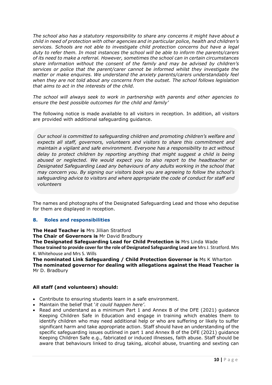*The school also has a statutory responsibility to share any concerns it might have about a child in need of protection with other agencies and in particular police, health and children's services. Schools are not able to investigate child protection concerns but have a legal duty to refer them. In most instances the school will be able to inform the parents/carers of its need to make a referral. However, sometimes the school can in certain circumstances share information without the consent of the family and may be advised by children's services or police that the parent/carer cannot be informed whilst they investigate the matter or make enquires. We understand the anxiety parents/carers understandably feel when they are not told about any concerns from the outset. The school follows legislation that aims to act in the interests of the child.* 

*The school will always seek to work in partnership with parents and other agencies to ensure the best possible outcomes for the child and family'*

The following notice is made available to all visitors in reception. In addition, all visitors are provided with additional safeguarding guidance.

*Our school is committed to safeguarding children and promoting children's welfare and expects all staff, governors, volunteers and visitors to share this commitment and maintain a vigilant and safe environment. Everyone has a responsibility to act without delay to protect children by reporting anything that might suggest a child is being abused or neglected. We would expect you to also report to the headteacher or Designated Safeguarding Lead any behaviours of any adults working in the school that may concern you. By signing our visitors book you are agreeing to follow the school's safeguarding advice to visitors and where appropriate the code of conduct for staff and volunteers*

The names and photographs of the Designated Safeguarding Lead and those who deputise for them are displayed in reception.

#### **8. Roles and responsibilities**

**The Head Teacher is** Mrs Jillian Stratford

**The Chair of Governors is** Mr David Bradbury

**The Designated Safeguarding Lead for Child Protection is** Mrs Linda Wade

**Those trained to provide cover for the role of Designated Safeguarding Lead are** Mrs J. Stratford. Mrs K. Whitehouse and Mrs S. Wills

**The nominated Link Safeguarding / Child Protection Governor is** Ms K Wharton **The nominated governor for dealing with allegations against the Head Teacher is** Mr D. Bradbury

#### **All staff (and volunteers) should:**

- Contribute to ensuring students learn in a safe environment.
- Maintain the belief that '*it could happen here'*.
- Read and understand as a minimum Part 1 and Annex B of the DFE (2021) guidance Keeping Children Safe in Education and engage in training which enables them to identify children who may need additional help or who are suffering or likely to suffer significant harm and take appropriate action. Staff should have an understanding of the specific safeguarding issues outlined in part 1 and Annex B of the DFE (2021) guidance Keeping Children Safe e.g., fabricated or induced illnesses, faith abuse. Staff should be aware that behaviours linked to drug taking, alcohol abuse, truanting and sexting can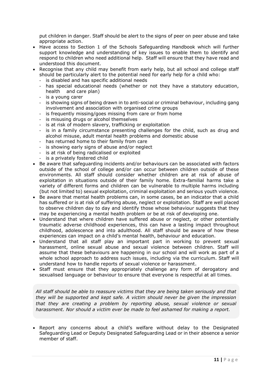put children in danger. Staff should be alert to the signs of peer on peer abuse and take appropriate action.

- Have access to Section 1 of the Schools Safeguarding Handbook which will further support knowledge and understanding of key issues to enable them to identify and respond to children who need additional help. Staff will ensure that they have read and understood this document.
- Recognise that any child may benefit from early help, but all school and college staff should be particularly alert to the potential need for early help for a child who:
	- is disabled and has specific additional needs
	- has special educational needs (whether or not they have a statutory education, health and care plan)
	- is a young carer
	- is showing signs of being drawn in to anti-social or criminal behaviour, including gang involvement and association with organised crime groups
	- is frequently missing/goes missing from care or from home
	- is misusing drugs or alcohol themselves
	- is at risk of modern slavery, trafficking or exploitation
	- is in a family circumstance presenting challenges for the child, such as drug and alcohol misuse, adult mental health problems and domestic abuse
	- has returned home to their family from care
	- is showing early signs of abuse and/or neglect
	- is at risk of being radicalised or exploited
	- is a privately fostered child
- Be aware that safeguarding incidents and/or behaviours can be associated with factors outside of the school of college and/or can occur between children outside of these environments. All staff should consider whether children are at risk of abuse of exploitation in situations outside of their family home. Extra-familial harms take a variety of different forms and children can be vulnerable to multiple harms including (but not limited to) sexual exploitation, criminal exploitation and serious youth violence.
- Be aware that mental health problems can, in some cases, be an indicator that a child has suffered or is at risk of suffering abuse, neglect or exploitation. Staff are well placed to observe children day to day and identify those whose behaviour suggests that they may be experiencing a mental health problem or be at risk of developing one.
- Understand that where children have suffered abuse or neglect, or other potentially traumatic adverse childhood experiences, this can have a lasting impact throughout childhood, adolescence and into adulthood. All staff should be aware of how these experiences can impact on a child's mental health, behaviour and education.
- Understand that all staff play an important part in working to prevent sexual harassment, online sexual abuse and sexual violence between children. Staff will assume that these behaviours are happening in our school and will work as part of a whole school approach to address such issues, including via the curriculum. Staff will understand how to handle reports of sexual violence or harassment.
- Staff must ensure that they appropriately challenge any form of derogatory and sexualised language or behaviour to ensure that everyone is respectful at all times.

*All staff should be able to reassure victims that they are being taken seriously and that they will be supported and kept safe. A victim should never be given the impression that they are creating a problem by reporting abuse, sexual violence or sexual harassment. Nor should a victim ever be made to feel ashamed for making a report.*

• Report any concerns about a child's welfare without delay to the Designated Safeguarding Lead or Deputy Designated Safeguarding Lead or in their absence a senior member of staff.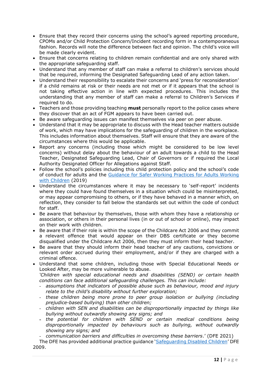- Ensure that they record their concerns using the school's agreed reporting procedure, CPOMs and/or Child Protection Concern/Incident recording form in a contemporaneous fashion. Records will note the difference between fact and opinion. The child's voice will be made clearly evident.
- Ensure that concerns relating to children remain confidential and are only shared with the appropriate safeguarding staff.
- Understand that any member of staff can make a referral to children's services should that be required, informing the Designated Safeguarding Lead of any action taken.
- Understand their responsibility to escalate their concerns and 'press for reconsideration' if a child remains at risk or their needs are not met or if it appears that the school is not taking effective action in line with expected procedures. This includes the understanding that any member of staff can make a referral to Children's Services if required to do.
- Teachers and those providing teaching **must** personally report to the police cases where they discover that an act of FGM appears to have been carried out.
- Be aware safeguarding issues can manifest themselves via peer on peer abuse.
- Understand that it may be appropriate to discuss with the Head teacher matters outside of work, which may have implications for the safeguarding of children in the workplace. This includes information about themselves. Staff will ensure that they are aware of the circumstances where this would be applicable.
- Report any concerns (including those which might be considered to be low level concerns) without delay about the behaviour of an adult towards a child to the Head Teacher, Designated Safeguarding Lead, Chair of Governors or if required the Local Authority Designated Officer for Allegations against Staff.
- Follow the school's policies including this child protection policy and the school's code of conduct for adults and the [Guidance for Safer Working Practices for Adults Working](https://www.saferrecruitmentconsortium.org/GSWP%20May%202019%20final.pdf)  [with Children](https://www.saferrecruitmentconsortium.org/GSWP%20May%202019%20final.pdf) (2019)
- Understand the circumstances where it may be necessary to 'self-report' incidents where they could have found themselves in a situation which could be misinterpreted, or may appear compromising to others, or if they have behaved in a manner which, on reflection, they consider to fall below the standards set out within the code of conduct for staff.
- Be aware that behaviour by themselves, those with whom they have a relationship or association, or others in their personal lives (in or out of school or online), may impact on their work with children.
- Be aware that if their role is within the scope of the Childcare Act 2006 and they commit a relevant offence that would appear on their DBS certificate or they become disqualified under the Childcare Act 2006, then they must inform their head teacher.
- Be aware that they should inform their head teacher of any cautions, convictions or relevant order accrued during their employment, and/or if they are charged with a criminal offence.
- Understand that some children, including those with Special Educational Needs or Looked After, may be more vulnerable to abuse. *'Children with special educational needs and disabilities (SEND) or certain health*

*conditions can face additional safeguarding challenges. This can include:* 

- *assumptions that indicators of possible abuse such as behaviour, mood and injury relate to the child's disability without further exploration;*
- *these children being more prone to peer group isolation or bullying (including prejudice-based bullying) than other children;*
- *children with SEN and disabilities can be disproportionally impacted by things like bullying without outwardly showing any signs; and*
- *the potential for children with SEND or certain medical conditions being disproportionally impacted by behaviours such as bullying, without outwardly showing any signs; and*

- *communication barriers and difficulties in overcoming these barriers*.' (DFE 2021)

The DFE has provided additional practice guidance '[Safeguarding Disabled Children](https://www.gov.uk/government/publications/safeguarding-disabled-children-practice-guidance)' DFE 2009.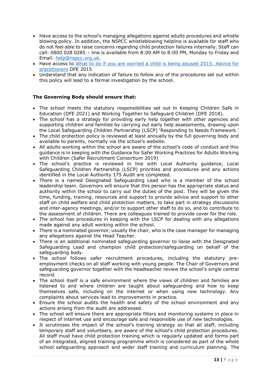- Have access to the school's managing allegations against adults procedures and whistle blowing policy. In addition, the NSPCC whistleblowing helpline is available for staff who do not feel able to raise concerns regarding child protection failures internally. Staff can call: 0800 028 0285 – line is available from 8:00 AM to 8:00 PM, Monday to Friday and Email: [help@nspcc.org.uk.](mailto:help@nspcc.org.uk)
- Have access to What to do if you are worried a child is being abused 2015: Advice for [practitioners](https://www.gov.uk/government/publications/what-to-do-if-youre-worried-a-child-is-being-abused--2) DFE 2015
- Understand that any indication of failure to follow any of the procedures set out within this policy will lead to a formal investigation by the school.

#### **The Governing Body should ensure that:**

- The school meets the statutory responsibilities set out in Keeping Children Safe in Education (DFE 2021) and Working Together to Safeguard Children (DFE 2018).
- The school has a strategy for providing early help together with other agencies and supporting children and families by carrying out early help assessments, drawing upon the Local Safeguarding Children Partnership (LSCP) 'Responding to Needs Framework.'
- The child protection policy is reviewed at least annually by the full governing body and available to parents, normally via the school's website.
- All adults working within the school are aware of the school's code of conduct and this guidance is in keeping with the Guidance for Safer Working Practices for Adults Working with Children (Safer Recruitment Consortium 2019)
- The school's practice is reviewed in line with Local Authority guidance, Local Safeguarding Children Partnership (LSCP) priorities and procedures and any actions identified in the Local Authority 175 Audit are completed.
- There is a named Designated Safeguarding Lead who is a member of the school leadership team. Governors will ensure that this person has the appropriate status and authority within the school to carry out the duties of the post. They will be given the time, funding, training, resources and support to provide advice and support to other staff on child welfare and child protection matters, to take part in strategy discussions and inter-agency meetings, and/or to support other staff to do so, and to contribute to the assessment of children. There are colleagues trained to provide cover for the role.
- The school has procedures in keeping with the LSCP for dealing with any allegations made against any adult working within the school.
- There is a nominated governor, usually the chair, who is the case manager for managing any allegations against the Head Teacher.
- There is an additional nominated safeguarding governor to liaise with the Designated Safeguarding Lead and champion child protection/safeguarding on behalf of the safeguarding body.
- The school follows safer recruitment procedures, including the statutory preemployment checks on all staff working with young people. The Chair of Governors and safeguarding governor together with the headteacher review the school's single central record.
- The school itself is a safe environment where the views of children and families are listened to and where children are taught about safeguarding and how to keep themselves safe, including on the internet or when using new technology. Any complaints about services lead to improvements in practice.
- Ensure the school audits the health and safety of the school environment and any actions arising from the audit are addressed.
- The school will ensure there are appropriate filters and monitoring systems in place in respect of internet use and encourage safe and responsible use of new technologies.
- It scrutinises the impact of the school's training strategy so that all staff, including temporary staff and volunteers, are aware of the school's child protection procedures. All staff must have child protection training which is regularly updated and forms part of an integrated, aligned training programme which is considered as part of the whole school safeguarding approach and wider staff training and curriculum planning. The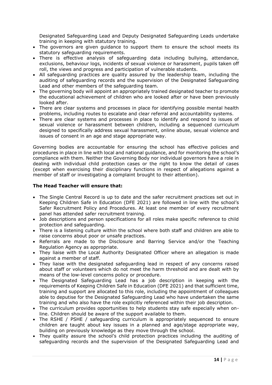Designated Safeguarding Lead and Deputy Designated Safeguarding Leads undertake training in keeping with statutory training.

- The governors are given guidance to support them to ensure the school meets its statutory safeguarding requirements.
- There is effective analysis of safeguarding data including bullying, attendance, exclusions, behaviour logs, incidents of sexual violence or harassment, pupils taken off roll, the views and progress and participation of vulnerable students.
- All safeguarding practices are quality assured by the leadership team, including the auditing of safeguarding records and the supervision of the Designated Safeguarding Lead and other members of the safeguarding team.
- The governing body will appoint an appropriately trained designated teacher to promote the educational achievement of children who are looked after or have been previously looked after.
- There are clear systems and processes in place for identifying possible mental health problems, including routes to escalate and clear referral and accountability systems.
- There are clear systems and processes in place to identify and respond to issues of sexual violence or harassment between children, including a sequenced curriculum designed to specifically address sexual harassment, online abuse, sexual violence and issues of consent in an age and stage appropriate way.

Governing bodies are accountable for ensuring the school has effective policies and procedures in place in line with local and national guidance, and for monitoring the school's compliance with them. Neither the Governing Body nor individual governors have a role in dealing with individual child protection cases or the right to know the detail of cases (except when exercising their disciplinary functions in respect of allegations against a member of staff or investigating a complaint brought to their attention).

#### **The Head Teacher will ensure that:**

- The Single Central Record is up to date and the safer recruitment practices set out in Keeping Children Safe in Education (DFE 2021) are followed in line with the school's Safer Recruitment Policy and Procedures. At least one member of every recruitment panel has attended safer recruitment training.
- Job descriptions and person specifications for all roles make specific reference to child protection and safeguarding.
- There is a listening culture within the school where both staff and children are able to raise concerns about poor or unsafe practices.
- Referrals are made to the Disclosure and Barring Service and/or the Teaching Regulation Agency as appropriate.
- They liaise with the Local Authority Designated Officer where an allegation is made against a member of staff.
- They liaise with the designated safeguarding lead in respect of any concerns raised about staff or volunteers which do not meet the harm threshold and are dealt with by means of the low-level concerns policy or procedure.
- The Designated Safeguarding Lead has a job description in keeping with the requirements of Keeping Children Safe in Education (DFE 2021) and that sufficient time, training and support are allocated to this role, including the appointment of colleagues able to deputise for the Designated Safeguarding Lead who have undertaken the same training and who also have the role explicitly referenced within their job description.
- The curriculum provides opportunities to help students stay safe especially when online. Children should be aware of the support available to them.
- The RSHE / PSHE / safeguarding curriculum is appropriately sequenced to ensure children are taught about key issues in a planned and age/stage appropriate way, building on previously knowledge as they move through the school.
- They quality assure the school's child protection practices including the auditing of safeguarding records and the supervision of the Designated Safeguarding Lead and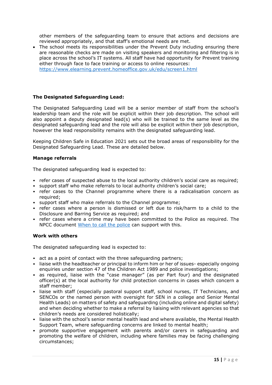other members of the safeguarding team to ensure that actions and decisions are reviewed appropriately, and that staff's emotional needs are met.

• The school meets its responsibilities under the Prevent Duty including ensuring there are reasonable checks are made on visiting speakers and monitoring and filtering is in place across the school's IT systems. All staff have had opportunity for Prevent training either through face to face training or access to online resources: <https://www.elearning.prevent.homeoffice.gov.uk/edu/screen1.html>

#### **The Designated Safeguarding Lead:**

The Designated Safeguarding Lead will be a senior member of staff from the school's leadership team and the role will be explicit within their job description. The school will also appoint a deputy designated lead(s) who will be trained to the same level as the designated safeguarding lead and the role will also be explicit within their job description, however the lead responsibility remains with the designated safeguarding lead.

Keeping Children Safe in Education 2021 sets out the broad areas of responsibility for the Designated Safeguarding Lead. These are detailed below.

#### **Manage referrals**

The designated safeguarding lead is expected to:

- refer cases of suspected abuse to the local authority children's social care as required;
- support staff who make referrals to local authority children's social care;
- refer cases to the Channel programme where there is a radicalisation concern as required;
- support staff who make referrals to the Channel programme;
- refer cases where a person is dismissed or left due to risk/harm to a child to the Disclosure and Barring Service as required; and
- refer cases where a crime may have been committed to the Police as required. The NPCC document [When to call the police](https://www.npcc.police.uk/documents/Children%20and%20Young%20people/When%20to%20call%20the%20police%20guidance%20for%20schools%20and%20colleges.pdf) can support with this.

#### **Work with others**

The designated safeguarding lead is expected to:

- act as a point of contact with the three safeguarding partners;
- liaise with the headteacher or principal to inform him or her of issues-especially ongoing enquiries under section 47 of the Children Act 1989 and police investigations;
- as required, liaise with the "case manager" (as per Part four) and the designated officer(s) at the local authority for child protection concerns in cases which concern a staff member;
- liaise with staff (especially pastoral support staff, school nurses, IT Technicians, and SENCOs or the named person with oversight for SEN in a college and Senior Mental Health Leads) on matters of safety and safeguarding (including online and digital safety) and when deciding whether to make a referral by liaising with relevant agencies so that children's needs are considered holistically;
- liaise with the school's senior mental health lead and where available, the Mental Health Support Team, where safeguarding concerns are linked to mental health;
- promote supportive engagement with parents and/or carers in safeguarding and promoting the welfare of children, including where families may be facing challenging circumstances;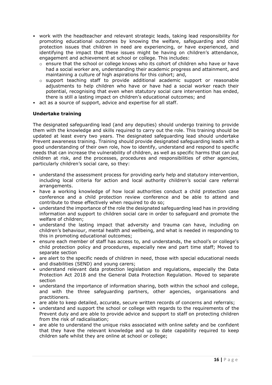- work with the headteacher and relevant strategic leads, taking lead responsibility for promoting educational outcomes by knowing the welfare, safeguarding and child protection issues that children in need are experiencing, or have experienced, and identifying the impact that these issues might be having on children's attendance, engagement and achievement at school or college. This includes:
	- $\circ$  ensure that the school or college knows who its cohort of children who have or have had a social worker are, understanding their academic progress and attainment, and maintaining a culture of high aspirations for this cohort; and,
	- o support teaching staff to provide additional academic support or reasonable adjustments to help children who have or have had a social worker reach their potential, recognising that even when statutory social care intervention has ended, there is still a lasting impact on children's educational outcomes; and
- act as a source of support, advice and expertise for all staff.

#### **Undertake training**

The designated safeguarding lead (and any deputies) should undergo training to provide them with the knowledge and skills required to carry out the role. This training should be updated at least every two years. The designated safeguarding lead should undertake Prevent awareness training. Training should provide designated safeguarding leads with a good understanding of their own role, how to identify, understand and respond to specific needs that can increase the vulnerability of children, as well as specific harms that can put children at risk, and the processes, procedures and responsibilities of other agencies, particularly children's social care, so they:

- understand the assessment process for providing early help and statutory intervention, including local criteria for action and local authority children's social care referral arrangements.
- have a working knowledge of how local authorities conduct a child protection case conference and a child protection review conference and be able to attend and contribute to these effectively when required to do so;
- understand the importance of the role the designated safeguarding lead has in providing information and support to children social care in order to safeguard and promote the welfare of children;
- understand the lasting impact that adversity and trauma can have, including on children's behaviour, mental health and wellbeing, and what is needed in responding to this in promoting educational outcomes;
- ensure each member of staff has access to, and understands, the school's or college's child protection policy and procedures, especially new and part time staff; Moved to separate section
- are alert to the specific needs of children in need, those with special educational needs and disabilities (SEND) and young carers;
- understand relevant data protection legislation and regulations, especially the Data Protection Act 2018 and the General Data Protection Regulation. Moved to separate section
- understand the importance of information sharing, both within the school and college, and with the three safeguarding partners, other agencies, organisations and practitioners.
- are able to keep detailed, accurate, secure written records of concerns and referrals;
- understand and support the school or college with regards to the requirements of the Prevent duty and are able to provide advice and support to staff on protecting children from the risk of radicalisation;
- are able to understand the unique risks associated with online safety and be confident that they have the relevant knowledge and up to date capability required to keep children safe whilst they are online at school or college;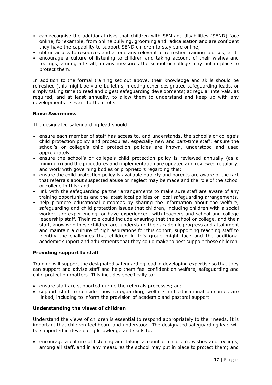- can recognise the additional risks that children with SEN and disabilities (SEND) face online, for example, from online bullying, grooming and radicalisation and are confident they have the capability to support SEND children to stay safe online;
- obtain access to resources and attend any relevant or refresher training courses; and
- encourage a culture of listening to children and taking account of their wishes and feelings, among all staff, in any measures the school or college may put in place to protect them.

In addition to the formal training set out above, their knowledge and skills should be refreshed (this might be via e-bulletins, meeting other designated safeguarding leads, or simply taking time to read and digest safeguarding developments) at regular intervals, as required, and at least annually, to allow them to understand and keep up with any developments relevant to their role.

#### **Raise Awareness**

The designated safeguarding lead should:

- ensure each member of staff has access to, and understands, the school's or college's child protection policy and procedures, especially new and part-time staff; ensure the school's or college's child protection policies are known, understood and used appropriately
- ensure the school's or college's child protection policy is reviewed annually (as a minimum) and the procedures and implementation are updated and reviewed regularly, and work with governing bodies or proprietors regarding this;
- ensure the child protection policy is available publicly and parents are aware of the fact that referrals about suspected abuse or neglect may be made and the role of the school or college in this; and
- link with the safeguarding partner arrangements to make sure staff are aware of any training opportunities and the latest local policies on local safeguarding arrangements.
- help promote educational outcomes by sharing the information about the welfare, safeguarding and child protection issues that children, including children with a social worker, are experiencing, or have experienced, with teachers and school and college leadership staff. Their role could include ensuring that the school or college, and their staff, know who these children are, understand their academic progress and attainment and maintain a culture of high aspirations for this cohort; supporting teaching staff to identify the challenges that children in this group might face and the additional academic support and adjustments that they could make to best support these children.

#### **Providing support to staff**

Training will support the designated safeguarding lead in developing expertise so that they can support and advise staff and help them feel confident on welfare, safeguarding and child protection matters. This includes specifically to:

- ensure staff are supported during the referrals processes; and
- support staff to consider how safeguarding, welfare and educational outcomes are linked, including to inform the provision of academic and pastoral support.

#### **Understanding the views of children**

Understand the views of children is essential to respond appropriately to their needs. It is important that children feel heard and understood. The designated safeguarding lead will be supported in developing knowledge and skills to:

• encourage a culture of listening and taking account of children's wishes and feelings, among all staff, and in any measures the school may put in place to protect them; and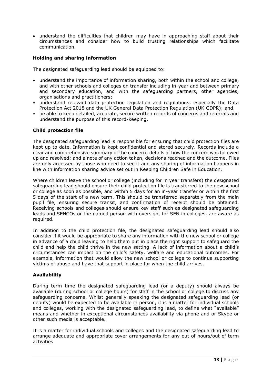• understand the difficulties that children may have in approaching staff about their circumstances and consider how to build trusting relationships which facilitate communication.

#### **Holding and sharing information**

The designated safeguarding lead should be equipped to:

- understand the importance of information sharing, both within the school and college, and with other schools and colleges on transfer including in-year and between primary and secondary education, and with the safeguarding partners, other agencies, organisations and practitioners;
- understand relevant data protection legislation and regulations, especially the Data Protection Act 2018 and the UK General Data Protection Regulation (UK GDPR); and
- be able to keep detailed, accurate, secure written records of concerns and referrals and understand the purpose of this record-keeping.

#### **Child protection file**

The designated safeguarding lead is responsible for ensuring that child protection files are kept up to date. Information is kept confidential and stored securely. Records include a clear and comprehensive summary of the concern; details of how the concern was followed up and resolved; and a note of any action taken, decisions reached and the outcome. Files are only accessed by those who need to see it and any sharing of information happens in line with information sharing advice set out in Keeping Children Safe in Education.

Where children leave the school or college (including for in year transfers) the designated safeguarding lead should ensure their child protection file is transferred to the new school or college as soon as possible, and within 5 days for an in-year transfer or within the first 5 days of the start of a new term. This should be transferred separately from the main pupil file, ensuring secure transit, and confirmation of receipt should be obtained. Receiving schools and colleges should ensure key staff such as designated safeguarding leads and SENCOs or the named person with oversight for SEN in colleges, are aware as required.

In addition to the child protection file, the designated safeguarding lead should also consider if it would be appropriate to share any information with the new school or college in advance of a child leaving to help them put in place the right support to safeguard the child and help the child thrive in the new setting. A lack of information about a child's circumstances can impact on the child's safety, welfare and educational outcomes. For example, information that would allow the new school or college to continue supporting victims of abuse and have that support in place for when the child arrives.

#### **Availability**

During term time the designated safeguarding lead (or a deputy) should always be available (during school or college hours) for staff in the school or college to discuss any safeguarding concerns. Whilst generally speaking the designated safeguarding lead (or deputy) would be expected to be available in person, it is a matter for individual schools and colleges, working with the designated safeguarding lead, to define what "available" means and whether in exceptional circumstances availability via phone and or Skype or other such media is acceptable.

It is a matter for individual schools and colleges and the designated safeguarding lead to arrange adequate and appropriate cover arrangements for any out of hours/out of term activities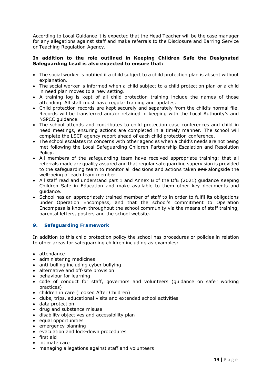According to Local Guidance it is expected that the Head Teacher will be the case manager for any allegations against staff and make referrals to the Disclosure and Barring Service or Teaching Regulation Agency.

#### **In addition to the role outlined in Keeping Children Safe the Designated Safeguarding Lead is also expected to ensure that:**

- The social worker is notified if a child subject to a child protection plan is absent without explanation.
- The social worker is informed when a child subject to a child protection plan or a child in need plan moves to a new setting.
- A training log is kept of all child protection training include the names of those attending. All staff must have regular training and updates.
- Child protection records are kept securely and separately from the child's normal file. Records will be transferred and/or retained in keeping with the Local Authority's and NSPCC guidance.
- The school attends and contributes to child protection case conferences and child in need meetings, ensuring actions are completed in a timely manner. The school will complete the LSCP agency report ahead of each child protection conference.
- The school escalates its concerns with other agencies when a child's needs are not being met following the Local Safeguarding Children Partnership Escalation and Resolution Policy.
- All members of the safeguarding team have received appropriate training; that all referrals made are quality assured and that regular safeguarding supervision is provided to the safeguarding team to monitor all decisions and actions taken and alongside the well-being of each team member.
- All staff read and understand part 1 and Annex B of the DfE (2021) guidance Keeping Children Safe in Education and make available to them other key documents and guidance.
- School has an appropriately trained member of staff to in order to fulfil its obligations under Operation Encompass, and that the school's commitment to Operation Encompass is known throughout the school community via the means of staff training, parental letters, posters and the school website.

#### **9. Safeguarding Framework**

In addition to this child protection policy the school has procedures or policies in relation to other areas for safeguarding children including as examples:

- attendance
- administering medicines
- anti-bulling including cyber bullying
- alternative and off-site provision
- behaviour for learning
- code of conduct for staff, governors and volunteers (guidance on safer working practices)
- children in care (Looked After Children)
- clubs, trips, educational visits and extended school activities
- data protection
- drug and substance misuse
- disability objectives and accessibility plan
- equal opportunities
- emergency planning
- evacuation and lock-down procedures
- first aid
- intimate care
- managing allegations against staff and volunteers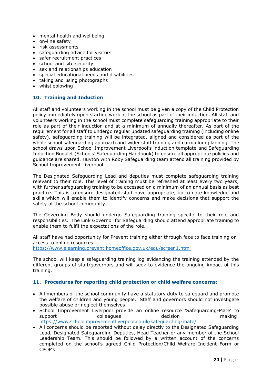- mental health and wellbeing
- on-line safety
- risk assessments
- safeguarding advice for visitors
- safer recruitment practices
- school and site security
- sex and relationships education
- special educational needs and disabilities
- taking and using photographs
- whistleblowing

#### **10. Training and Induction**

All staff and volunteers working in the school must be given a copy of the Child Protection policy immediately upon starting work at the school as part of their induction. All staff and volunteers working in the school must complete safeguarding training appropriate to their role as part of their induction and at a minimum of annually thereafter. As part of the requirement for all staff to undergo regular updated safeguarding training (including online safety), safeguarding training will be integrated, aligned and considered as part of the whole school safeguarding approach and wider staff training and curriculum planning. The school draws upon School Improvement Liverpool's induction template and Safeguarding Induction Booklet (Schools' Safeguarding Handbook) to ensure all appropriate policies and guidance are shared. Huyton with Roby Safeguarding team attend all training provided by School Improvement Liverpool.

The Designated Safeguarding Lead and deputies must complete safeguarding training relevant to their role. This level of training must be refreshed at least every two years, with further safeguarding training to be accessed on a minimum of an annual basis as best practice. This is to ensure designated staff have appropriate, up to date knowledge and skills which will enable them to identify concerns and make decisions that support the safety of the school community.

The Governing Body should undergo Safeguarding training specific to their role and responsibilities. The Link Governor for Safeguarding should attend appropriate training to enable them to fulfil the expectations of the role.

All staff have had opportunity for Prevent training either through face to face training or access to online resources: <https://www.elearning.prevent.homeoffice.gov.uk/edu/screen1.html>

The school will keep a safeguarding training log evidencing the training attended by the different groups of staff/governors and will seek to evidence the ongoing impact of this training.

#### **11. Procedures for reporting child protection or child welfare concerns:**

- All members of the school community have a statutory duty to safeguard and promote the welfare of children and young people. Staff and governors should not investigate possible abuse or neglect themselves.
- School Improvement Liverpool provide an online resource 'Safeguarding-Mate' to support colleagues colleagues decision making: <https://www.schoolimprovementliverpool.co.uk/safeguarding-mate/>
- All concerns should be reported without delay directly to the Designated Safeguarding Lead, Designated Safeguarding Deputies, Head Teacher or any member of the School Leadership Team. This should be followed by a written account of the concerns completed on the school's agreed Child Protection/Child Welfare Incident Form or CPOMs.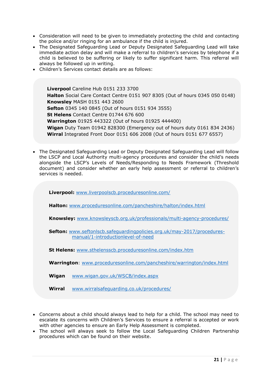- Consideration will need to be given to immediately protecting the child and contacting the police and/or ringing for an ambulance if the child is injured.
- The Designated Safeguarding Lead or Deputy Designated Safeguarding Lead will take immediate action delay and will make a referral to children's services by telephone if a child is believed to be suffering or likely to suffer significant harm. This referral will always be followed up in writing.
- Children's Services contact details are as follows:

**Liverpool** Careline Hub 0151 233 3700 **Halton** Social Care Contact Centre 0151 907 8305 (Out of hours 0345 050 0148) **Knowsley** MASH 0151 443 2600 **Sefton** 0345 140 0845 (Out of hours 0151 934 3555) **St Helens** Contact Centre 01744 676 600 **Warrington** 01925 443322 (Out of hours 01925 444400) **Wigan** Duty Team 01942 828300 (Emergency out of hours duty 0161 834 2436) **Wirral** Integrated Front Door 0151 606 2008 (Out of hours 0151 677 6557)

• The Designated Safeguarding Lead or Deputy Designated Safeguarding Lead will follow the LSCP and Local Authority multi-agency procedures and consider the child's needs alongside the LSCP's Levels of Needs/Responding to Needs Framework (Threshold document) and consider whether an early help assessment or referral to children's services is needed.

**Liverpool:** [www.liverpoolscb.proceduresonline.com/](http://www.liverpoolscb.proceduresonline.com/) **Halton:** [www.proceduresonline.com/pancheshire/halton/index.html](http://www.proceduresonline.com/pancheshire/halton/index.html) **Knowsley:** [www.knowsleyscb.org.uk/professionals/multi-agency-procedures/](http://www.knowsleyscb.org.uk/professionals/multi-agency-procedures/) **Sefton:** [www.seftonlscb.safeguardingpolicies.org.uk/may-2017/procedures](http://www.seftonlscb.safeguardingpolicies.org.uk/may-2017/procedures-manual/1-introductionlevel-of-need)[manual/1-introductionlevel-of-need](http://www.seftonlscb.safeguardingpolicies.org.uk/may-2017/procedures-manual/1-introductionlevel-of-need) **St Helens:** [www.sthelensscb.proceduresonline.com/index.htm](http://www.sthelensscb.proceduresonline.com/index.htm) **Warrington**: [www.proceduresonline.com/pancheshire/warrington/index.html](http://www.proceduresonline.com/pancheshire/warrington/index.html)

**Wigan** [www.wigan.gov.uk/WSCB/index.aspx](http://www.wigan.gov.uk/WSCB/index.aspx)

**Wirral** [www.wirralsafeguarding.co.uk/procedures/](http://www.wirralsafeguarding.co.uk/procedures/)

- Concerns about a child should always lead to help for a child. The school may need to escalate its concerns with Children's Services to ensure a referral is accepted or work with other agencies to ensure an Early Help Assessment is completed.
- The school will always seek to follow the Local Safeguarding Children Partnership procedures which can be found on their website.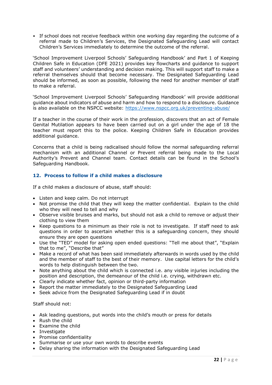• If school does not receive feedback within one working day regarding the outcome of a referral made to Children's Services, the Designated Safeguarding Lead will contact Children's Services immediately to determine the outcome of the referral.

'School Improvement Liverpool Schools' Safeguarding Handbook' and Part 1 of Keeping Children Safe in Education (DFE 2021) provides key flowcharts and guidance to support staff and volunteers' understanding and decision making. This will support staff to make a referral themselves should that become necessary. The Designated Safeguarding Lead should be informed, as soon as possible, following the need for another member of staff to make a referral.

'School Improvement Liverpool Schools' Safeguarding Handbook' will provide additional guidance about indicators of abuse and harm and how to respond to a disclosure. Guidance is also available on the NSPCC website:<https://www.nspcc.org.uk/preventing-abuse/>

If a teacher in the course of their work in the profession, discovers that an act of Female Genital Mutilation appears to have been carried out on a girl under the age of 18 the teacher must report this to the police. Keeping Children Safe in Education provides additional guidance.

Concerns that a child is being radicalised should follow the normal safeguarding referral mechanism with an additional Channel or Prevent referral being made to the Local Authority's Prevent and Channel team. Contact details can be found in the School's Safeguarding Handbook.

#### **12. Process to follow if a child makes a disclosure**

If a child makes a disclosure of abuse, staff should:

- Listen and keep calm. Do not interrupt
- Not promise the child that they will keep the matter confidential. Explain to the child who they will need to tell and why
- Observe visible bruises and marks, but should not ask a child to remove or adjust their clothing to view them
- Keep questions to a minimum as their role is not to investigate. If staff need to ask questions in order to ascertain whether this is a safeguarding concern, they should ensure they are open questions
- Use the "TED" model for asking open ended questions: "Tell me about that", "Explain that to me", "Describe that"
- Make a record of what has been said immediately afterwards in words used by the child and the member of staff to the best of their memory. Use capital letters for the child's words to help distinguish between the two.
- Note anything about the child which is connected i.e. any visible injuries including the position and description, the demeanour of the child i.e. crying, withdrawn etc.
- Clearly indicate whether fact, opinion or third-party information
- Report the matter immediately to the Designated Safeguarding Lead
- Seek advice from the Designated Safeguarding Lead if in doubt

Staff should not:

- Ask leading questions, put words into the child's mouth or press for details
- Rush the child
- Examine the child
- Investigate
- Promise confidentiality
- Summarise or use your own words to describe events
- Delay sharing the information with the Designated Safeguarding Lead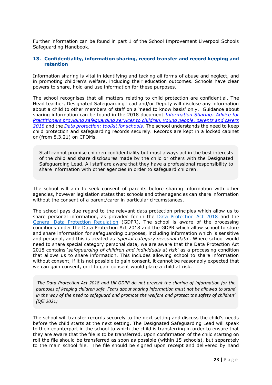Further information can be found in part 1 of the School Improvement Liverpool Schools Safeguarding Handbook.

#### **13. Confidentiality, information sharing, record transfer and record keeping and retention**

Information sharing is vital in identifying and tacking all forms of abuse and neglect, and in promoting children's welfare, including their education outcomes. Schools have clear powers to share, hold and use information for these purposes.

The school recognises that all matters relating to child protection are confidential. The Head teacher, Designated Safeguarding Lead and/or Deputy will disclose any information about a child to other members of staff on a 'need to know basis' only. Guidance about sharing information can be found in the 2018 document *[Information Sharing: Advice for](https://www.gov.uk/government/publications/safeguarding-practitioners-information-sharing-advice)  [Practitioners providing safeguarding services to children, young people, parents and carers](https://www.gov.uk/government/publications/safeguarding-practitioners-information-sharing-advice)  [2018](https://www.gov.uk/government/publications/safeguarding-practitioners-information-sharing-advice)* and the *[Data protection: toolkit for schools](file://///latco/sil/data/school%20effectiveness/Safeguarding%20and%20Inclusion/Safeguarding%20only/Schools)*. The school understands the need to keep child protection and safeguarding records securely. Records are kept in a locked cabinet or (from 8.3.21) on CPOMs.

Staff cannot promise children confidentiality but must always act in the best interests of the child and share disclosures made by the child or others with the Designated Safeguarding Lead. All staff are aware that they have a professional responsibility to share information with other agencies in order to safeguard children.

The school will aim to seek consent of parents before sharing information with other agencies, however legislation states that schools and other agencies can share information without the consent of a parent/carer in particular circumstances.

The school pays due regard to the relevant data protection principles which allow us to share personal information, as provided for in the [Data Protection Act 2018](http://www.legislation.gov.uk/ukpga/2018/12/contents/enacted) and the [General Data Protection Regulation](https://www.gov.uk/government/publications/guide-to-the-general-data-protection-regulation) (GDPR). The school is aware of the processing conditions under the Data Protection Act 2018 and the GDPR which allow school to store and share information for safeguarding purposes, including information which is sensitive and personal, and this is treated as '*special category personal data*'. Where school would need to share special category personal data, we are aware that the Data Protection Act 2018 contains '*safeguarding of children and individuals at risk*' as a processing condition that allows us to share information. This includes allowing school to share information without consent, if it is not possible to gain consent, it cannot be reasonably expected that we can gain consent, or if to gain consent would place a child at risk.

*'The Data Protection Act 2018 and UK GDPR do not prevent the sharing of information for the purposes of keeping children safe. Fears about sharing information must not be allowed to stand in the way of the need to safeguard and promote the welfare and protect the safety of children' (DfE 2021)*

The school will transfer records securely to the next setting and discuss the child's needs before the child starts at the next setting. The Designated Safeguarding Lead will speak to their counterpart in the school to which the child is transferring in order to ensure that they are aware that the file is to be transferred. Upon confirmation of the child starting on roll the file should be transferred as soon as possible (within 15 schools), but separately to the main school file. The file should be signed upon receipt and delivered by hand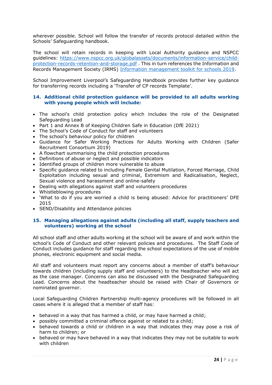wherever possible. School will follow the transfer of records protocol detailed within the Schools' Safeguarding handbook.

The school will retain records in keeping with Local Authority guidance and NSPCC guidelines: [https://www.nspcc.org.uk/globalassets/documents/information-service/child](https://www.nspcc.org.uk/globalassets/documents/information-service/child-protection-records-retention-and-storage.pdf)[protection-records-retention-and-storage.pdf](https://www.nspcc.org.uk/globalassets/documents/information-service/child-protection-records-retention-and-storage.pdf) . This in turn references the Information and Records Management Society (IRMS) [Information management toolkit for schools 2019.](https://irms.org.uk/page/SchoolsToolkit)

School Improvement Liverpool's Safeguarding Handbook provides further key guidance for transferring records including a 'Transfer of CP records Template'.

#### **14. Additional child protection guidance will be provided to all adults working with young people which will include:**

- The school's child protection policy which includes the role of the Designated Safeguarding Lead
- Part 1 and Annex B of Keeping Children Safe in Education (DfE 2021)
- The School's Code of Conduct for staff and volunteers
- The school's behaviour policy for children
- Guidance for Safer Working Practices for Adults Working with Children (Safer Recruitment Consortium 2019)
- A flowchart summarising the child protection procedures
- Definitions of abuse or neglect and possible indicators
- Identified groups of children more vulnerable to abuse
- Specific guidance related to including Female Genital Mutilation, Forced Marriage, Child Exploitation including sexual and criminal, Extremism and Radicalisation, Neglect, Sexual violence and harassment and online-safety
- Dealing with allegations against staff and volunteers procedures
- Whistleblowing procedures
- 'What to do if you are worried a child is being abused: Advice for practitioners' DFE 2015
- SEND/Disability and Attendance policies

#### **15. Managing allegations against adults (including all staff, supply teachers and volunteers) working at the school**

All school staff and other adults working at the school will be aware of and work within the school's Code of Conduct and other relevant policies and procedures. The Staff Code of Conduct includes guidance for staff regarding the school expectations of the use of mobile phones, electronic equipment and social media.

All staff and volunteers must report any concerns about a member of staff's behaviour towards children (including supply staff and volunteers) to the Headteacher who will act as the case manager. Concerns can also be discussed with the Designated Safeguarding Lead. Concerns about the headteacher should be raised with Chair of Governors or nominated governor.

Local Safeguarding Children Partnership multi-agency procedures will be followed in all cases where it is alleged that a member of staff has:

- behaved in a way that has harmed a child, or may have harmed a child;
- possibly committed a criminal offence against or related to a child;
- behaved towards a child or children in a way that indicates they may pose a risk of harm to children; or
- behaved or may have behaved in a way that indicates they may not be suitable to work with children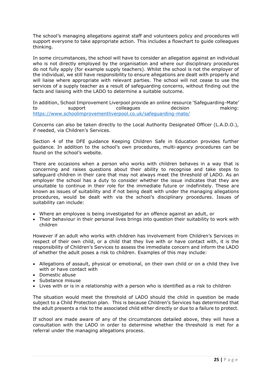The school's managing allegations against staff and volunteers policy and procedures will support everyone to take appropriate action. This includes a flowchart to guide colleagues thinking.

In some circumstances, the school will have to consider an allegation against an individual who is not directly employed by the organisation and where our disciplinary procedures do not fully apply (for example supply teachers). Whilst the school is not the employer of the individual, we still have responsibility to ensure allegations are dealt with properly and will liaise where appropriate with relevant parties. The school will not cease to use the services of a supply teacher as a result of safeguarding concerns, without finding out the facts and liaising with the LADO to determine a suitable outcome.

In addition, School Improvement Liverpool provide an online resource 'Safeguarding-Mate' to support colleagues decision making: <https://www.schoolimprovementliverpool.co.uk/safeguarding-mate/>

Concerns can also be taken directly to the Local Authority Designated Officer (L.A.D.O.), if needed, via Children's Services.

Section 4 of the DFE guidance Keeping Children Safe in Education provides further guidance. In addition to the school's own procedures, multi-agency procedures can be found on the school's website.

There are occasions when a person who works with children behaves in a way that is concerning and raises questions about their ability to recognise and take steps to safeguard children in their care that may not always meet the threshold of LADO. As an employer the school has a duty to consider whether the issue indicates that they are unsuitable to continue in their role for the immediate future or indefinitely. These are known as issues of suitability and if not being dealt with under the managing allegations procedures, would be dealt with via the school's disciplinary procedures. Issues of suitability can include:

- Where an employee is being investigated for an offence against an adult, or
- Their behaviour in their personal lives brings into question their suitability to work with children

However if an adult who works with children has involvement from Children's Services in respect of their own child, or a child that they live with or have contact with, it is the responsibility of Children's Services to assess the immediate concern and inform the LADO of whether the adult poses a risk to children. Examples of this may include:

- Allegations of assault, physical or emotional, on their own child or on a child they live with or have contact with
- Domestic abuse
- Substance misuse
- Lives with or is in a relationship with a person who is identified as a risk to children

The situation would meet the threshold of LADO should the child in question be made subject to a Child Protection plan. This is because Children's Services has determined that the adult presents a risk to the associated child either directly or due to a failure to protect.

If school are made aware of any of the circumstances detailed above, they will have a consultation with the LADO in order to determine whether the threshold is met for a referral under the managing allegations process.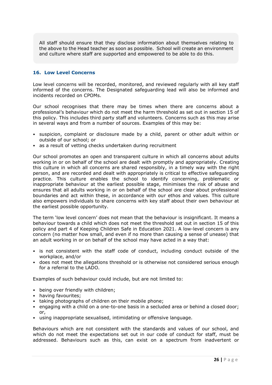All staff should ensure that they disclose information about themselves relating to the above to the Head teacher as soon as possible. School will create an environment and culture where staff are supported and empowered to be able to do this.

#### **16. Low Level Concerns**

Low level concerns will be recorded, monitored, and reviewed regularly with all key staff informed of the concerns. The Designated safeguarding lead will also be informed and incidents recorded on CPOMs.

Our school recognises that there may be times when there are concerns about a professional's behaviour which do not meet the harm threshold as set out in section 15 of this policy. This includes third party staff and volunteers. Concerns such as this may arise in several ways and from a number of sources. Examples of this may be:

- suspicion, complaint or disclosure made by a child, parent or other adult within or outside of our school; or
- as a result of vetting checks undertaken during recruitment

Our school promotes an open and transparent culture in which all concerns about adults working in or on behalf of the school are dealt with promptly and appropriately. Creating this culture in which all concerns are shared responsibly, in a timely way with the right person, and are recorded and dealt with appropriately is critical to effective safeguarding practice. This culture enables the school to identify concerning, problematic or inappropriate behaviour at the earliest possible stage, minimises the risk of abuse and ensures that all adults working in or on behalf of the school are clear about professional boundaries and act within these, in accordance with our ethos and values. This culture also empowers individuals to share concerns with key staff about their own behaviour at the earliest possible opportunity.

The term 'low level concern' does not mean that the behaviour is insignificant. It means a behaviour towards a child which does not meet the threshold set out in section 15 of this policy and part 4 of Keeping Children Safe in Education 2021. A low-level concern is any concern (no matter how small, and even if no more than causing a sense of unease) that an adult working in or on behalf of the school may have acted in a way that:

- is not consistent with the staff code of conduct, including conduct outside of the workplace, and/or
- does not meet the allegations threshold or is otherwise not considered serious enough for a referral to the LADO.

Examples of such behaviour could include, but are not limited to:

- being over friendly with children;
- having favourites;
- taking photographs of children on their mobile phone;
- engaging with a child on a one-to-one basis in a secluded area or behind a closed door; or,
- using inappropriate sexualised, intimidating or offensive language.

Behaviours which are not consistent with the standards and values of our school, and which do not meet the expectations set out in our code of conduct for staff, must be addressed. Behaviours such as this, can exist on a spectrum from inadvertent or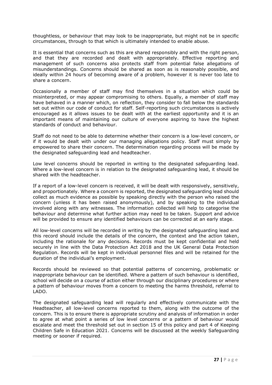thoughtless, or behaviour that may look to be inappropriate, but might not be in specific circumstances, through to that which is ultimately intended to enable abuse.

It is essential that concerns such as this are shared responsibly and with the right person, and that they are recorded and dealt with appropriately. Effective reporting and management of such concerns also protects staff from potential false allegations of misunderstandings. Concerns should be shared as soon as is reasonably possible, and ideally within 24 hours of becoming aware of a problem, however it is never too late to share a concern.

Occasionally a member of staff may find themselves in a situation which could be misinterpreted, or may appear compromising to others. Equally, a member of staff may have behaved in a manner which, on reflection, they consider to fall below the standards set out within our code of conduct for staff. Self-reporting such circumstances is actively encouraged as it allows issues to be dealt with at the earliest opportunity and it is an important means of maintaining our culture of everyone aspiring to have the highest standards of conduct and behaviour.

Staff do not need to be able to determine whether their concern is a low-level concern, or if it would be dealt with under our managing allegations policy. Staff must simply by empowered to share their concern. The determination regarding process will be made by the designated safeguarding lead and headteacher.

Low level concerns should be reported in writing to the designated safeguarding lead. Where a low-level concern is in relation to the designated safeguarding lead, it should be shared with the headteacher.

If a report of a low-level concern is received, it will be dealt with responsively, sensitively, and proportionately. Where a concern is reported, the designated safeguarding lead should collect as much evidence as possible by speaking directly with the person who raised the concern (unless it has been raised anonymously), and by speaking to the individual involved along with any witnesses. The information collected will help to categorise the behaviour and determine what further action may need to be taken. Support and advice will be provided to ensure any identified behaviours can be corrected at an early stage.

All low-level concerns will be recorded in writing by the designated safeguarding lead and this record should include the details of the concern, the context and the action taken, including the rationale for any decisions. Records must be kept confidential and held securely in line with the Data Protection Act 2018 and the UK General Data Protection Regulation. Records will be kept in individual personnel files and will be retained for the duration of the individual's employment.

Records should be reviewed so that potential patterns of concerning, problematic or inappropriate behaviour can be identified. Where a pattern of such behaviour is identified, school will decide on a course of action either through our disciplinary procedures or where a pattern of behaviour moves from a concern to meeting the harms threshold, referral to LADO.

The designated safeguarding lead will regularly and effectively communicate with the Headteacher, all low-level concerns reported to them, along with the outcome of the concern. This is to ensure there is appropriate scrutiny and analysis of information in order to agree at what point a series of low level concerns or a pattern of behaviour would escalate and meet the threshold set out in section 15 of this policy and part 4 of Keeping Children Safe in Education 2021. Concerns will be discussed at the weekly Safeguarding meeting or sooner if required.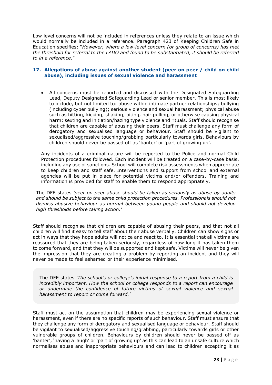Low level concerns will not be included in references unless they relate to an issue which would normally be included in a reference. Paragraph 423 of Keeping Children Safe in Education specifies: "*However, where a low-level concern (or group of concerns) has met the threshold for referral to the LADO and found to be substantiated, it should be referred to in a reference*."

#### **17. Allegations of abuse against another student (peer on peer / child on child abuse), including issues of sexual violence and harassment**

• All concerns must be reported and discussed with the Designated Safeguarding Lead, Deputy Designated Safeguarding Lead or senior member. This is most likely to include, but not limited to: abuse within intimate partner relationships; bullying (including cyber bullying); serious violence and sexual harassment; physical abuse such as hitting, kicking, shaking, biting, hair pulling, or otherwise causing physical harm; sexting and initiation/hazing type violence and rituals. Staff should recognise that children are capable of abusing their peers. Staff must challenge any form of derogatory and sexualised language or behaviour. Staff should be vigilant to sexualised/aggressive touching/grabbing particularly towards girls. Behaviours by children should never be passed off as 'banter' or 'part of growing up'.

Any incidents of a criminal nature will be reported to the Police and normal Child Protection procedures followed. Each incident will be treated on a case-by-case basis, including any use of sanctions. School will complete risk assessments when appropriate to keep children and staff safe. Interventions and support from school and external agencies will be put in place for potential victims and/or offenders. Training and information is provided for staff to enable them to respond appropriately.

The DFE states *'peer on peer abuse should be taken as seriously as abuse by adults and should be subject to the same child protection procedures. Professionals should not dismiss abusive behaviour as normal between young people and should not develop high thresholds before taking action.'*

Staff should recognise that children are capable of abusing their peers, and that not all children will find it easy to tell staff about their abuse verbally. Children can show signs or act in ways that they hope adults will notice and react to. It is essential that all victims are reassured that they are being taken seriously, regardless of how long it has taken them to come forward, and that they will be supported and kept safe. Victims will never be given the impression that they are creating a problem by reporting an incident and they will never be made to feel ashamed or their experience minimised.

The DFE states *'The school's or college's initial response to a report from a child is incredibly important. How the school or college responds to a report can encourage or undermine the confidence of future victims of sexual violence and sexual harassment to report or come forward.'*

Staff must act on the assumption that children may be experiencing sexual violence or harassment, even if there are no specific reports of such behaviour. Staff must ensure that they challenge any form of derogatory and sexualised language or behaviour. Staff should be vigilant to sexualised/aggressive touching/grabbing, particularly towards girls or other vulnerable groups of children. Behaviours by children should never be passed off as 'banter', 'having a laugh' or 'part of growing up' as this can lead to an unsafe culture which normalises abuse and inappropriate behaviours and can lead to children accepting it as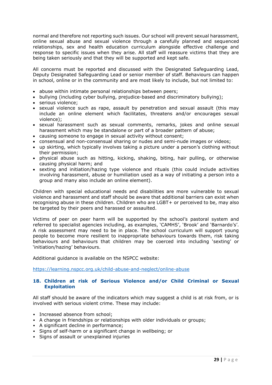normal and therefore not reporting such issues. Our school will prevent sexual harassment, online sexual abuse and sexual violence through a carefully planned and sequenced relationships, sex and health education curriculum alongside effective challenge and response to specific issues when they arise. All staff will reassure victims that they are being taken seriously and that they will be supported and kept safe.

All concerns must be reported and discussed with the Designated Safeguarding Lead, Deputy Designated Safeguarding Lead or senior member of staff. Behaviours can happen in school, online or in the community and are most likely to include, but not limited to:

- abuse within intimate personal relationships between peers;
- bullying (including cyber bullying, prejudice-based and discriminatory bullying);
- serious violence;
- sexual violence such as rape, assault by penetration and sexual assault (this may include an online element which facilitates, threatens and/or encourages sexual violence);
- sexual harassment such as sexual comments, remarks, jokes and online sexual harassment which may be standalone or part of a broader pattern of abuse;
- causing someone to engage in sexual activity without consent;
- consensual and non-consensual sharing or nudes and semi-nude images or videos;
- up skirting, which typically involves taking a picture under a person's clothing without their permission;
- physical abuse such as hitting, kicking, shaking, biting, hair pulling, or otherwise causing physical harm; and
- sexting and initiation/hazing type violence and rituals (this could include activities involving harassment, abuse or humiliation used as a way of initiating a person into a group and many also include an online element).

Children with special educational needs and disabilities are more vulnerable to sexual violence and harassment and staff should be aware that additional barriers can exist when recognising abuse in these children. Children who are LGBT+ or perceived to be, may also be targeted by their peers and harassed or assaulted.

Victims of peer on peer harm will be supported by the school's pastoral system and referred to specialist agencies including, as examples, 'CAMHS', 'Brook' and 'Barnardo's'. A risk assessment may need to be in place. The school curriculum will support young people to become more resilient to inappropriate behaviours towards them, risk taking behaviours and behaviours that children may be coerced into including 'sexting' or 'initiation/hazing' behaviours.

Additional guidance is available on the NSPCC website:

https://learning.nspcc.org.uk/child-abuse-and-neglect/online-abuse

#### **18. Children at risk of Serious Violence and/or Child Criminal or Sexual Exploitation**

All staff should be aware of the indicators which may suggest a child is at risk from, or is involved with serious violent crime. These may include:

- Increased absence from school:
- A change in friendships or relationships with older individuals or groups;
- A significant decline in performance;
- Signs of self-harm or a significant change in wellbeing; or
- Signs of assault or unexplained injuries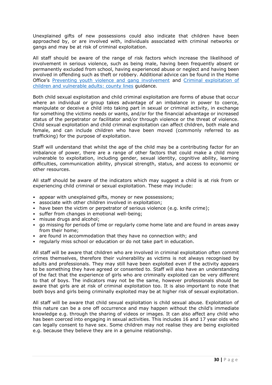Unexplained gifts of new possessions could also indicate that children have been approached by, or are involved with, individuals associated with criminal networks or gangs and may be at risk of criminal exploitation.

All staff should be aware of the range of risk factors which increase the likelihood of involvement in serious violence, such as being male, having been frequently absent or permanently excluded from school, having experienced abuse or neglect and having been involved in offending such as theft or robbery. Additional advice can be found in the Home Office's [Preventing youth violence and gang involvement](https://www.gov.uk/government/publications/advice-to-schools-and-colleges-on-gangs-and-youth-violence) and [Criminal exploitation of](https://www.gov.uk/government/publications/criminal-exploitation-of-children-and-vulnerable-adults-county-lines)  [children and vulnerable adults: county lines](https://www.gov.uk/government/publications/criminal-exploitation-of-children-and-vulnerable-adults-county-lines) guidance.

Both child sexual exploitation and child criminal exploitation are forms of abuse that occur where an individual or group takes advantage of an imbalance in power to coerce, manipulate or deceive a child into taking part in sexual or criminal activity, in exchange for something the victims needs or wants, and/or for the financial advantage or increased status of the perpetrator or facilitator and/or through violence or the threat of violence. Child sexual exploitation and child criminal exploitation can affect children, both male and female, and can include children who have been moved (commonly referred to as trafficking) for the purpose of exploitation.

Staff will understand that whilst the age of the child may be a contributing factor for an imbalance of power, there are a range of other factors that could make a child more vulnerable to exploitation, including gender, sexual identity, cognitive ability, learning difficulties, communication ability, physical strength, status, and access to economic or other resources.

All staff should be aware of the indicators which may suggest a child is at risk from or experiencing child criminal or sexual exploitation. These may include:

- appear with unexplained gifts, money or new possessions;
- associate with other children involved in exploitation;
- have been the victim or perpetrator of serious violence (e.g. knife crime);
- suffer from changes in emotional well-being;
- misuse drugs and alcohol;
- go missing for periods of time or regularly come home late and are found in areas away from their home;
- are found in accommodation that they have no connection with; and
- regularly miss school or education or do not take part in education.

All staff will be aware that children who are involved in criminal exploitation often commit crimes themselves, therefore their vulnerability as victims is not always recognised by adults and professionals. They may still have been exploited even if the activity appears to be something they have agreed or consented to. Staff will also have an understanding of the fact that the experience of girls who are criminally exploited can be very different to that of boys. The indicators may not be the same, however professionals should be aware that girls are at risk of criminal exploitation too. It is also important to note that both boys and girls being criminally exploited may be at higher risk of sexual exploitation.

All staff will be aware that child sexual exploitation is child sexual abuse. Exploitation of this nature can be a one off occurrence and may happen without the child's immediate knowledge e.g. through the sharing of videos or images. It can also affect any child who has been coerced into engaging in sexual activities. This includes 16 and 17 year olds who can legally consent to have sex. Some children may not realise they are being exploited e.g. because they believe they are in a genuine relationship.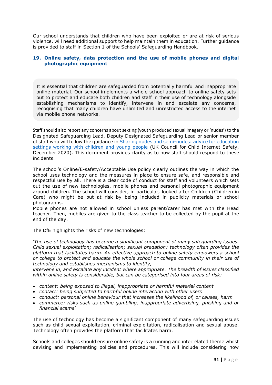Our school understands that children who have been exploited or are at risk of serious violence, will need additional support to help maintain them in education. Further guidance is provided to staff in Section 1 of the Schools' Safeguarding Handbook.

#### **19. Online safety, data protection and the use of mobile phones and digital photographic equipment**

It is essential that children are safeguarded from potentially harmful and inappropriate online material. Our school implements a whole school approach to online safety sets out to protect and educate both children and staff in their use of technology alongside establishing mechanisms to identify, intervene in and escalate any concerns, recognising that many children have unlimited and unrestricted access to the internet via mobile phone networks.

Staff should also report any concerns about sexting (youth produced sexual imagery or 'nudes') to the Designated Safeguarding Lead, Deputy Designated Safeguarding Lead or senior member of staff who will follow the guidance in [Sharing nudes and semi-nudes: advice for education](https://www.gov.uk/government/publications/sharing-nudes-and-semi-nudes-advice-for-education-settings-working-with-children-and-young-people)  [settings working with children and young people](https://www.gov.uk/government/publications/sharing-nudes-and-semi-nudes-advice-for-education-settings-working-with-children-and-young-people) (UK Council for Child Internet Safety, December 2020). This document provides clarity as to how staff should respond to these incidents.

The school's Online/E-safety/Acceptable Use policy clearly outlines the way in which the school uses technology and the measures in place to ensure safe, and responsible and respectful use by all. There is a clear code of conduct for staff and volunteers which sets out the use of new technologies, mobile phones and personal photographic equipment around children. The school will consider, in particular, looked after Children (Children in Care) who might be put at risk by being included in publicity materials or school photographs.

Mobile phones are not allowed in school unless parent/carer has met with the Head teacher. Then, mobiles are given to the class teacher to be collected by the pupil at the end of the day.

The DfE highlights the risks of new technologies:

'*The use of technology has become a significant component of many safeguarding issues. Child sexual exploitation; radicalisation; sexual predation: technology often provides the platform that facilitates harm. An effective approach to online safety empowers a school or college to protect and educate the whole school or college community in their use of technology and establishes mechanisms to identify,*

*intervene in, and escalate any incident where appropriate. The breadth of issues classified within online safety is considerable, but can be categorised into four areas of risk:*

- *content: being exposed to illegal, inappropriate or harmful material content*
- *contact: being subjected to harmful online interaction with other users*
- *conduct: personal online behaviour that increases the likelihood of, or causes, harm*
- *commerce: risks such as online gambling, inappropriate advertising, phishing and or financial scams'*

The use of technology has become a significant component of many safeguarding issues such as child sexual exploitation, criminal exploitation, radicalisation and sexual abuse. Technology often provides the platform that facilitates harm.

Schools and colleges should ensure online safety is a running and interrelated theme whilst devising and implementing policies and procedures. This will include considering how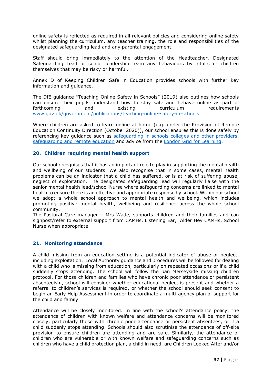online safety is reflected as required in all relevant policies and considering online safety whilst planning the curriculum, any teacher training, the role and responsibilities of the designated safeguarding lead and any parental engagement.

Staff should bring immediately to the attention of the Headteacher, Designated Safeguarding Lead or senior leadership team any behaviours by adults or children themselves that may be risky or harmful.

Annex D of Keeping Children Safe in Education provides schools with further key information and guidance.

The DfE guidance "Teaching Online Safety in Schools" (2019) also outlines how schools can ensure their pupils understand how to stay safe and behave online as part of forthcoming and existing curriculum requirements [www.gov.uk/government/publications/teaching-online-safety-in-schools.](http://www.gov.uk/government/publications/teaching-online-safety-in-schools)

Where children are asked to learn online at home (e.g. under the Provision of Remote Education Continuity Direction (October 2020)), our school ensures this is done safely by referencing key guidance such as [safeguarding in schools colleges and other providers,](https://www.gov.uk/government/publications/actions-for-schools-during-the-coronavirus-outbreak/guidance-for-full-opening-schools#res) [safeguarding and remote education](https://www.gov.uk/guidance/safeguarding-and-remote-education-during-coronavirus-covid-19) and advice from the [London Grid for Learning.](https://coronavirus.lgfl.net/safeguarding)

#### **20. Children requiring mental health support**

Our school recognises that it has an important role to play in supporting the mental health and wellbeing of our students. We also recognise that in some cases, mental health problems can be an indicator that a child has suffered, or is at risk of suffering abuse, neglect of exploitation. The designated safeguarding lead will regularly liaise with the senior mental health lead/school Nurse where safeguarding concerns are linked to mental health to ensure there is an effective and appropriate response by school. Within our school we adopt a whole school approach to mental health and wellbeing, which includes promoting positive mental health, wellbeing and resilience across the whole school community.

The Pastoral Care manager – Mrs Wade, supports children and their families and can signpost/refer to external support from CAMHs, Listening Ear, Alder Hey CAMHs, School Nurse when appropriate.

#### **21. Monitoring attendance**

A child missing from an education setting is a potential indicator of abuse or neglect, including exploitation. Local Authority guidance and procedures will be followed for dealing with a child who is missing from education, particularly on repeated occasions or if a child suddenly stops attending. The school will follow the pan Merseyside missing children protocol. For those children and families who have chronic poor attendance or persistent absenteeism, school will consider whether educational neglect is present and whether a referral to children's services is required, or whether the school should seek consent to begin an Early Help Assessment in order to coordinate a multi-agency plan of support for the child and family.

Attendance will be closely monitored. In line with the school's attendance policy, the attendance of children with known welfare and attendance concerns will be monitored closely, particularly those with chronic poor attendance or persistent absentees, or if a child suddenly stops attending. Schools should also scrutinise the attendance of off-site provision to ensure children are attending and are safe. Similarly, the attendance of children who are vulnerable or with known welfare and safeguarding concerns such as children who have a child protection plan, a child in need, are Children Looked After and/or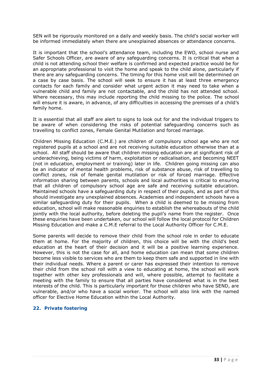SEN will be rigorously monitored on a daily and weekly basis. The child's social worker will be informed immediately when there are unexplained absences or attendance concerns.

It is important that the school's attendance team, including the EWO, school nurse and Safer Schools Officer, are aware of any safeguarding concerns. It is critical that when a child is not attending school their welfare is confirmed and expected practice would be for an appropriate professional to visit the home and speak to the child alone, particularly if there are any safeguarding concerns. The timing for this home visit will be determined on a case by case basis. The school will seek to ensure it has at least three emergency contacts for each family and consider what urgent action it may need to take when a vulnerable child and family are not contactable, and the child has not attended school. Where necessary, this may include reporting the child missing to the police. The school will ensure it is aware, in advance, of any difficulties in accessing the premises of a child's family home.

It is essential that all staff are alert to signs to look out for and the individual triggers to be aware of when considering the risks of potential safeguarding concerns such as travelling to conflict zones, Female Genital Mutilation and forced marriage.

Children Missing Education (C.M.E.) are children of compulsory school age who are not registered pupils at a school and are not receiving suitable education otherwise than at a school. All staff should be aware that children missing education are at significant risk of underachieving, being victims of harm, exploitation or radicalisation, and becoming NEET (not in education, employment or training) later in life. Children going missing can also be an indicator of mental health problems, risk of substance abuse, risk of travelling to conflict zones, risk of female genital mutilation or risk of forced marriage. Effective information sharing between parents, schools and local authorities is critical to ensuring that all children of compulsory school age are safe and receiving suitable education. Maintained schools have a safeguarding duty in respect of their pupils, and as part of this should investigate any unexplained absences. Academies and independent schools have a similar safeguarding duty for their pupils. When a child is deemed to be missing from education, school will make reasonable enquiries to establish the whereabouts of the child jointly with the local authority, before deleting the pupil's name from the register. Once these enquiries have been undertaken, our school will follow the local protocol for Children Missing Education and make a C.M.E referral to the Local Authority Officer for C.M.E.

Some parents will decide to remove their child from the school role in order to educate them at home. For the majority of children, this choice will be with the child's best education at the heart of their decision and it will be a positive learning experience. However, this is not the case for all, and home education can mean that some children become less visible to services who are them to keep them safe and supported in line with their individual needs. Where a parent or carer has expressed their intention to remove their child from the school roll with a view to educating at home, the school will work together with other key professionals and will, where possible, attempt to facilitate a meeting with the family to ensure that all parties have considered what is in the best interests of the child. This is particularly important for those children who have SEND, are vulnerable, and/or who have a social worker. The school will also link with the named officer for Elective Home Education within the Local Authority.

#### **22. Private fostering**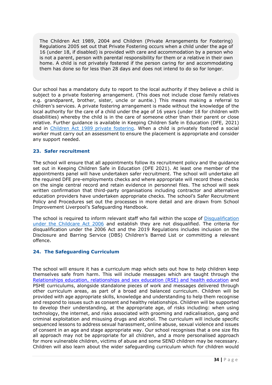The Children Act 1989, 2004 and Children (Private Arrangements for Fostering) Regulations 2005 set out that Private Fostering occurs when a child under the age of 16 (under 18, if disabled) is provided with care and accommodation by a person who is not a parent, person with parental responsibility for them or a relative in their own home. A child is not privately fostered if the person caring for and accommodating them has done so for less than 28 days and does not intend to do so for longer.

Our school has a mandatory duty to report to the local authority if they believe a child is subject to a private fostering arrangement. (This does not include close family relatives e.g. grandparent, brother, sister, uncle or auntie.) This means making a referral to children's services. A private fostering arrangement is made without the knowledge of the local authority for the care of a child under the age of 16 years (under 18 for children with disabilities) whereby the child is in the care of someone other than their parent or close relative. Further guidance is available in Keeping Children Safe in Education (DFE, 2021) and in [Children Act 1989 private fostering.](https://assets.publishing.service.gov.uk/government/uploads/system/uploads/attachment_data/file/274414/Children_Act_1989_private_fostering.pdf) When a child is privately fostered a social worker must carry out an assessment to ensure the placement is appropriate and consider any support needed.

#### **23. Safer recruitment**

The school will ensure that all appointments follow its recruitment policy and the guidance set out in Keeping Children Safe in Education (DFE 2021). At least one member of the appointments panel will have undertaken safer recruitment. The school will undertake all the required DFE pre-employments checks and where appropriate will record these checks on the single central record and retain evidence in personnel files. The school will seek written confirmation that third-party organisations including contractor and alternative education providers have undertaken appropriate checks. The school's Safer Recruitment Policy and Procedures set out the processes in more detail and are drawn from School Improvement Liverpool's Safeguarding Handbook.

The school is required to inform relevant staff who fall within the scope of [Disqualification](https://www.gov.uk/government/publications/disqualification-under-the-childcare-act-2006/disqualification-under-the-childcare-act-2006#contents)  [under the Childcare Act 2006](https://www.gov.uk/government/publications/disqualification-under-the-childcare-act-2006/disqualification-under-the-childcare-act-2006#contents) and establish they are not disqualified. The criteria for disqualification under the 2006 Act and the 2019 Regulations includes inclusion on the Disclosure and Barring Service (DBS) Children's Barred List or committing a relevant offence.

#### **24. The Safeguarding Curriculum**

The school will ensure it has a curriculum map which sets out how to help children keep themselves safe from harm. This will include messages which are taught through the Relationships education, relationships and sex education [\(RSE\) and health education](https://www.gov.uk/government/publications/relationships-education-relationships-and-sex-education-rse-and-health-education) and PSHE curriculums, alongside standalone pieces of work and messages delivered through other curriculum areas, as part of a broad and balanced curriculum. Children will be provided with age appropriate skills, knowledge and understanding to help them recognise and respond to issues such as consent and healthy relationships. Children will be supported to develop their understanding, at the appropriate age, of risks including: when using technology, the internet, and risks associated with grooming and radicalisation, gang and criminal exploitation and misusing drugs and alcohol. The curriculum will include specific sequenced lessons to address sexual harassment, online abuse, sexual violence and issues of consent in an age and stage appropriate way. Our school recognises that a one size fits all approach may not be appropriate for all children, and a more personalised approach for more vulnerable children, victims of abuse and some SEND children may be necessary. Children will also learn about the wider safeguarding curriculum which for children would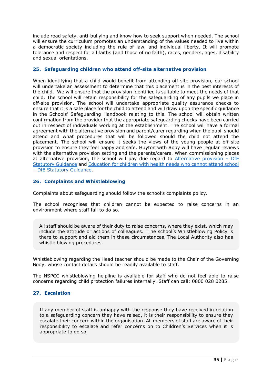include road safety, anti-bullying and know how to seek support when needed. The school will ensure the curriculum promotes an understanding of the values needed to live within a democratic society including the rule of law, and individual liberty. It will promote tolerance and respect for all faiths (and those of no faith), races, genders, ages, disability and sexual orientations.

#### **25. Safeguarding children who attend off-site alternative provision**

When identifying that a child would benefit from attending off site provision, our school will undertake an assessment to determine that this placement is in the best interests of the child. We will ensure that the provision identified is suitable to meet the needs of that child. The school will retain responsibility for the safeguarding of any pupils we place in off-site provision. The school will undertake appropriate quality assurance checks to ensure that it is a safe place for the child to attend and will draw upon the specific guidance in the Schools' Safeguarding Handbook relating to this. The school will obtain written confirmation from the provider that the appropriate safeguarding checks have been carried out in respect of individuals working at the establishment. The school will have a formal agreement with the alternative provision and parent/carer regarding when the pupil should attend and what procedures that will be followed should the child not attend the placement. The school will ensure it seeks the views of the young people at off-site provision to ensure they feel happy and safe. Huyton with Roby will have regular reviews with the alternative provision setting and the parents/carers. When commissioning places at alternative provision, the school will pay due regard to [Alternative provision](https://www.gov.uk/government/publications/alternative-provision) – DfE [Statutory Guidance](https://www.gov.uk/government/publications/alternative-provision) and [Education for children with health needs who cannot attend school](https://www.gov.uk/government/publications/education-for-children-with-health-needs-who-cannot-attend-school)  – [DfE Statutory Guidance.](https://www.gov.uk/government/publications/education-for-children-with-health-needs-who-cannot-attend-school)

#### **26. Complaints and Whistleblowing**

Complaints about safeguarding should follow the school's complaints policy.

The school recognises that children cannot be expected to raise concerns in an environment where staff fail to do so.

All staff should be aware of their duty to raise concerns, where they exist, which may include the attitude or actions of colleagues. The school's Whistleblowing Policy is there to support and aid them in these circumstances. The Local Authority also has whistle blowing procedures.

Whistleblowing regarding the Head teacher should be made to the Chair of the Governing Body, whose contact details should be readily available to staff.

The NSPCC whistleblowing helpline is available for staff who do not feel able to raise concerns regarding child protection failures internally. Staff can call: 0800 028 0285.

#### **27. Escalation**

If any member of staff is unhappy with the response they have received in relation to a safeguarding concern they have raised, it is their responsibility to ensure they escalate their concern within the organisation. All members of staff are aware of their responsibility to escalate and refer concerns on to Children's Services when it is appropriate to do so.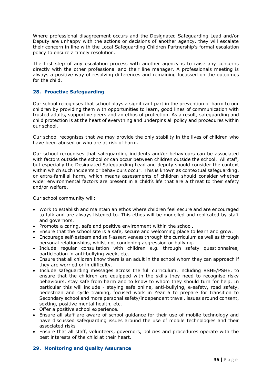Where professional disagreement occurs and the Designated Safeguarding Lead and/or Deputy are unhappy with the actions or decisions of another agency, they will escalate their concern in line with the Local Safeguarding Children Partnership's formal escalation policy to ensure a timely resolution.

The first step of any escalation process with another agency is to raise any concerns directly with the other professional and their line manager. A professionals meeting is always a positive way of resolving differences and remaining focussed on the outcomes for the child.

#### **28. Proactive Safeguarding**

Our school recognises that school plays a significant part in the prevention of harm to our children by providing them with opportunities to learn, good lines of communication with trusted adults, supportive peers and an ethos of protection. As a result, safeguarding and child protection is at the heart of everything and underpins all policy and procedures within our school.

Our school recognises that we may provide the only stability in the lives of children who have been abused or who are at risk of harm.

Our school recognises that safeguarding incidents and/or behaviours can be associated with factors outside the school or can occur between children outside the school. All staff, but especially the Designated Safeguarding Lead and deputy should consider the context within which such incidents or behaviours occur. This is known as contextual safeguarding, or extra-familial harm, which means assessments of children should consider whether wider environmental factors are present in a child's life that are a threat to their safety and/or welfare.

Our school community will:

- Work to establish and maintain an ethos where children feel secure and are encouraged to talk and are always listened to. This ethos will be modelled and replicated by staff and governors.
- Promote a caring, safe and positive environment within the school.
- Ensure that the school site is a safe, secure and welcoming place to learn and grow.
- Encourage self-esteem and self-assertiveness through the curriculum as well as through personal relationships, whilst not condoning aggression or bullying.
- Include regular consultation with children e.g. through safety questionnaires, participation in anti-bullying week, etc.
- Ensure that all children know there is an adult in the school whom they can approach if they are worried or in difficulty.
- Include safeguarding messages across the full curriculum, including RSHE/PSHE, to ensure that the children are equipped with the skills they need to recognise risky behaviours, stay safe from harm and to know to whom they should turn for help. In particular this will include - staying safe online, anti-bullying, e-safety, road safety, pedestrian and cycle training, focused work in Year 6 to prepare for transition to Secondary school and more personal safety/independent travel, issues around consent, sexting, positive mental health, etc.
- Offer a positive school experience.
- Ensure all staff are aware of school guidance for their use of mobile technology and have discussed safeguarding issues around the use of mobile technologies and their associated risks
- Ensure that all staff, volunteers, governors, policies and procedures operate with the best interests of the child at their heart.

#### **29. Monitoring and Quality Assurance**